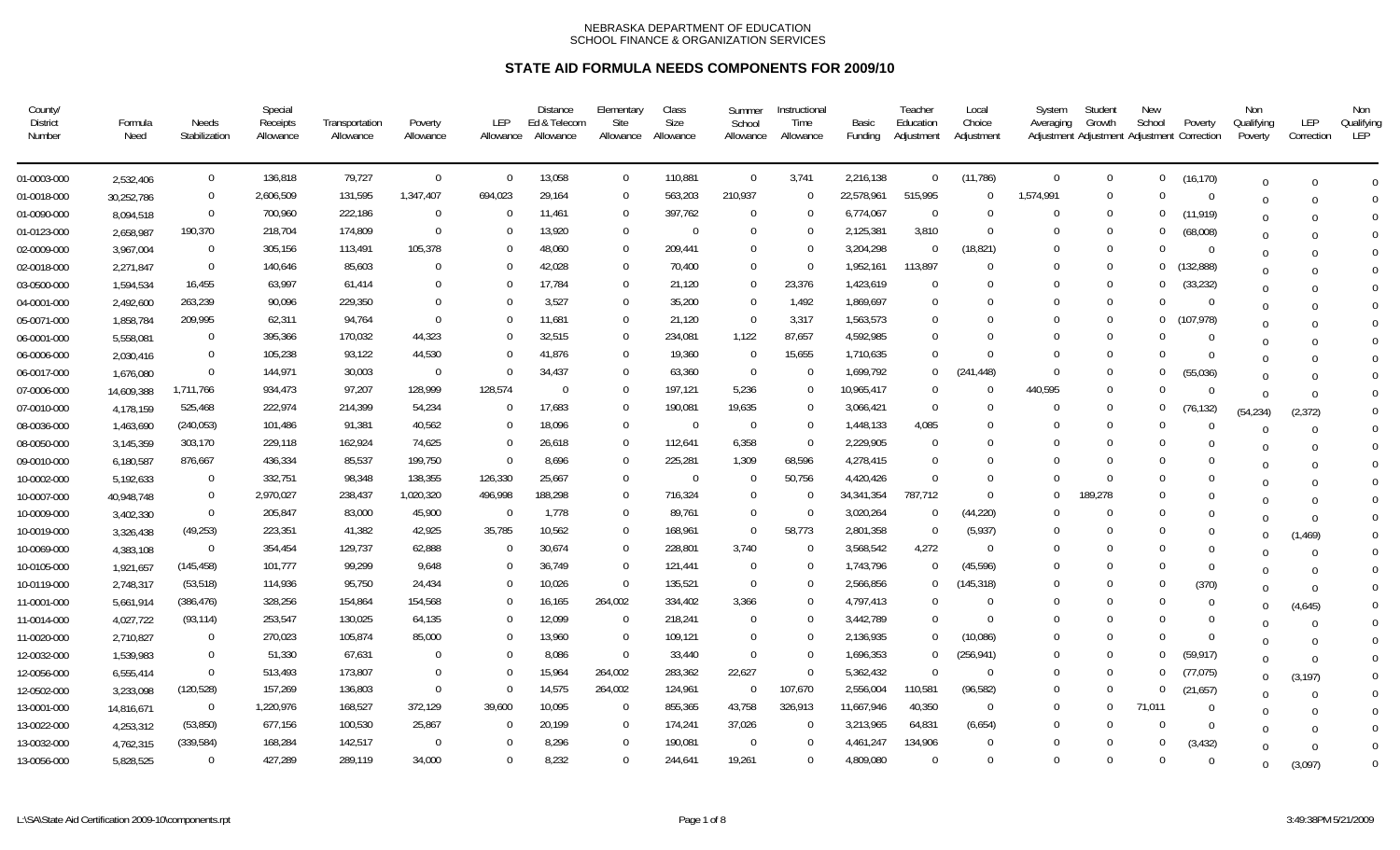| County/<br><b>District</b><br>Number | Formula<br>Need | <b>Needs</b><br>Stabilization | Special<br>Receipts<br>Allowance | Transportation<br>Allowance | Poverty<br>Allowance | LEP<br>Allowance | <b>Distance</b><br>Ed & Telecom<br>Allowance | Elementary<br>Site<br>Allowance | Class<br>Size<br>Allowance | Summer<br>School<br>Allowance | Instructional<br>Time<br>Allowance | Basic<br>Funding | Teacher<br>Education<br>Adjustment | Local<br>Choice<br>Adjustment | System<br>Averaging | Student<br>Growth<br>Adjustment Adjustment Adjustment Correction | New<br>School | Poverty    | Non<br>Qualifying<br>Poverty | LEP<br>Correction | Non<br>Qualifying<br>LEP |
|--------------------------------------|-----------------|-------------------------------|----------------------------------|-----------------------------|----------------------|------------------|----------------------------------------------|---------------------------------|----------------------------|-------------------------------|------------------------------------|------------------|------------------------------------|-------------------------------|---------------------|------------------------------------------------------------------|---------------|------------|------------------------------|-------------------|--------------------------|
| 01-0003-000                          | 2,532,406       | $\mathbf 0$                   | 136,818                          | 79,727                      | $\mathbf{0}$         | $\Omega$         | 13,058                                       | $\mathbf 0$                     | 110,881                    | $\overline{0}$                | 3,741                              | 2,216,138        | $\overline{0}$                     | (11, 786)                     | $\mathbf 0$         | - 0                                                              | $\mathbf{0}$  | (16, 170)  | $\Omega$                     |                   | $\Omega$                 |
| 01-0018-000                          | 30,252,786      | $\Omega$                      | 2,606,509                        | 131,595                     | 1,347,407            | 694,023          | 29,164                                       | $\mathbf 0$                     | 563,203                    | 210,937                       | $\Omega$                           | 22,578,961       | 515,995                            | $\Omega$                      | 1,574,991           | - 0                                                              | $\Omega$      | $\Omega$   | $\cup$                       |                   |                          |
| 01-0090-000                          | 8,094,518       | $\Omega$                      | 700,960                          | 222,186                     | $\Omega$             | $\Omega$         | 11,461                                       | $\Omega$                        | 397,762                    | $\Omega$                      | $\Omega$                           | 6,774,067        | $\Omega$                           | $\Omega$                      | $\Omega$            | $\Omega$                                                         | $\Omega$      | (11, 919)  | $\Omega$                     |                   | $\Omega$                 |
| 01-0123-000                          | 2,658,987       | 190,370                       | 218,704                          | 174,809                     | $\Omega$             |                  | 13,920                                       | $\overline{0}$                  | $\mathbf 0$                | $\Omega$                      | $\Omega$                           | 2,125,381        | 3,810                              | $\Omega$                      | $\Omega$            | - 0                                                              | $\bf{0}$      | (68,008)   | $\cup$                       |                   | $\Omega$                 |
| 02-0009-000                          | 3,967,004       | $\Omega$                      | 305,156                          | 113,491                     | 105,378              |                  | 48,060                                       | $\Omega$                        | 209,441                    | $\Omega$                      | $\Omega$                           | 3,204,298        |                                    | (18, 821)                     | $\Omega$            | $\Omega$                                                         | $\Omega$      | - 0        |                              |                   | $\Omega$                 |
| 02-0018-000                          | 2,271,847       | $\Omega$                      | 140,646                          | 85,603                      | $\Omega$             |                  | 42,028                                       | $\overline{0}$                  | 70,400                     | $\Omega$                      | $\Omega$                           | 1,952,161        | 113,897                            | $\Omega$                      | $\Omega$            | $\Omega$                                                         | $\Omega$      | (132, 888) | $\Omega$                     |                   | $\Omega$                 |
| 03-0500-000                          | 1,594,534       | 16,455                        | 63,997                           | 61,414                      | 0                    |                  | 17,784                                       | $\mathbf 0$                     | 21,120                     | $\Omega$                      | 23,376                             | 1,423,619        | $\Omega$                           | $\Omega$                      | $\Omega$            | $\Omega$                                                         | $\bf{0}$      | (33, 232)  | $\Omega$                     |                   | $\Omega$                 |
| 04-0001-000                          | 2,492,600       | 263,239                       | 90,096                           | 229,350                     | $\Omega$             |                  | 3,527                                        | $\Omega$                        | 35,200                     | $\Omega$                      | 1,492                              | 1,869,697        | $\Omega$                           |                               | $\Omega$            | $\Omega$                                                         | $\Omega$      | $\Omega$   | $\Omega$                     |                   | $\Omega$                 |
| 05-0071-000                          | 1,858,784       | 209,995                       | 62,311                           | 94,764                      | 0                    |                  | 11,681                                       | $\overline{0}$                  | 21,120                     | $\Omega$                      | 3,317                              | 1,563,573        | $\Omega$                           |                               | <sup>0</sup>        | $\Omega$                                                         | 0             | (107, 978) | $\Omega$                     |                   | $\Omega$                 |
| 06-0001-000                          | 5,558,081       | $\Omega$                      | 395,366                          | 170,032                     | 44,323               |                  | 32,515                                       | $\overline{0}$                  | 234,081                    | 1,122                         | 87,657                             | 4,592,985        | $\Omega$                           |                               | <sup>0</sup>        | $\Omega$                                                         | $\Omega$      | $\Omega$   | U                            |                   | $\Omega$                 |
| 06-0006-000                          | 2,030,416       | $\Omega$                      | 105,238                          | 93,122                      | 44,530               |                  | 41,876                                       | $\Omega$                        | 19,360                     | $\Omega$                      | 15,655                             | 1,710,635        | $\Omega$                           | $\Omega$                      | $\Omega$            | $\Omega$                                                         | $\Omega$      | $\Omega$   |                              |                   | $\Omega$                 |
| 06-0017-000                          | 1,676,080       | $\Omega$                      | 144,971                          | 30,003                      | $\Omega$             |                  | 34,437                                       | $\Omega$                        | 63,360                     | $\overline{0}$                | $\Omega$                           | 1,699,792        | $\Omega$                           | (241, 448)                    | $\Omega$            | $\Omega$                                                         | $\Omega$      | (55,036)   |                              |                   | $\Omega$                 |
| 07-0006-000                          | 14,609,388      | 1,711,766                     | 934,473                          | 97,207                      | 128,999              | 128,574          |                                              | $\Omega$                        | 197,121                    | 5,236                         | $\Omega$                           | 10,965,417       | $\Omega$                           | $\Omega$                      | 440,595             | $\Omega$                                                         | $\Omega$      | $\Omega$   | $\Omega$                     | $\Omega$          | $\Omega$                 |
| 07-0010-000                          | 4,178,159       | 525,468                       | 222,974                          | 214,399                     | 54,234               | $\Omega$         | 17,683                                       | $\Omega$                        | 190,081                    | 19,635                        | $\Omega$                           | 3,066,421        | $\Omega$                           |                               | $\Omega$            | $\Omega$                                                         | $\Omega$      | (76, 132)  | (54.234)                     | (2, 372)          | $\Omega$                 |
| 08-0036-000                          | 1,463,690       | (240, 053)                    | 101,486                          | 91,381                      | 40,562               |                  | 18,096                                       | $\Omega$                        | $\Omega$                   | - 0                           | $\Omega$                           | 1,448,133        | 4,085                              |                               | $\Omega$            |                                                                  | $\Omega$      | $\Omega$   | $\Omega$                     |                   | $\Omega$                 |
| 08-0050-000                          | 3,145,359       | 303,170                       | 229,118                          | 162,924                     | 74,625               |                  | 26,618                                       | $\Omega$                        | 112,641                    | 6,358                         | $\Omega$                           | 2,229,905        |                                    |                               | $\Omega$            |                                                                  | $\Omega$      |            |                              |                   | $\Omega$                 |
| 09-0010-000                          | 6,180,587       | 876,667                       | 436,334                          | 85,537                      | 199,750              | $\Omega$         | 8,696                                        | $\Omega$                        | 225,281                    | 1,309                         | 68,596                             | 4,278,415        | $\Omega$                           |                               | $\Omega$            |                                                                  | $\Omega$      |            |                              |                   | $\Omega$                 |
| 10-0002-000                          | 5,192,633       | $\Omega$                      | 332,751                          | 98,348                      | 138,355              | 126,330          | 25,667                                       | $\Omega$                        | $\Omega$                   | -0                            | 50,756                             | 4,420,426        |                                    |                               | <sup>0</sup>        |                                                                  | 0             | $\Omega$   |                              |                   | $\overline{0}$           |
| 10-0007-000                          | 40,948,748      | $\overline{0}$                | 2,970,027                        | 238,437                     | 1,020,320            | 496,998          | 188,298                                      | $\Omega$                        | 716,324                    | $\Omega$                      | <sup>-</sup>                       | 34, 341, 354     | 787,712                            | $\Omega$                      | $\Omega$            | 189,278                                                          | $\Omega$      | $\Omega$   |                              |                   | $\mathbf 0$              |
| 10-0009-000                          | 3,402,330       | $\overline{0}$                | 205,847                          | 83,000                      | 45,900               | $\Omega$         | 1,778                                        | -0                              | 89,761                     | $\Omega$                      | 0                                  | 3,020,264        |                                    | (44, 220)                     | - 0                 |                                                                  | 0             | $\Omega$   |                              |                   | $\mathbf 0$              |
| 10-0019-000                          | 3,326,438       | (49, 253)                     | 223,351                          | 41,382                      | 42,925               | 35,785           | 10,562                                       | $\overline{0}$                  | 168,961                    | - 0                           | 58,773                             | 2,801,358        | - 0                                | (5, 937)                      | $\Omega$            | $\Omega$                                                         | $\Omega$      | 0          | $\cup$                       | (1, 469)          | $\overline{0}$           |
| 10-0069-000                          | 4,383,108       | $\Omega$                      | 354,454                          | 129,737                     | 62,888               | $\Omega$         | 30,674                                       | $\Omega$                        | 228,801                    | 3.740                         | $\Omega$                           | 3,568,542        | 4,272                              | $\Omega$                      | $\Omega$            | $\Omega$                                                         | $\Omega$      | $\Omega$   |                              |                   | $\mathbf 0$              |
| 10-0105-000                          | 1,921,657       | (145, 458)                    | 101,777                          | 99,299                      | 9,648                | $\Omega$         | 36,749                                       | $\overline{0}$                  | 121,441                    | $\overline{0}$                | $\Omega$                           | 1,743,796        | $\Omega$                           | (45, 596)                     | $\Omega$            | $\left($                                                         | 0             | $\Omega$   |                              |                   | $\overline{0}$           |
| 10-0119-000                          | 2,748,317       | (53, 518)                     | 114,936                          | 95,750                      | 24,434               |                  | 10,026                                       | $\overline{0}$                  | 135,521                    | $\Omega$                      | $\Omega$                           | 2,566,856        | $\Omega$                           | (145,318)                     | $\Omega$            | $\Omega$                                                         | 0             | (370)      | $\Omega$                     |                   | $\mathbf 0$              |
| 11-0001-000                          | 5,661,914       | (386, 476)                    | 328,256                          | 154,864                     | 154,568              |                  | 16,165                                       | 264,002                         | 334,402                    | 3,366                         | $\Omega$                           | 4,797,413        | $\Omega$                           | $\Omega$                      | $\Omega$            | $\Omega$                                                         | $\Omega$      | $\Omega$   | U                            | (4,645)           | $\mathbf{0}$             |
| 11-0014-000                          | 4,027,722       | (93, 114)                     | 253,547                          | 130,025                     | 64,135               | $\Omega$         | 12,099                                       | $\overline{0}$                  | 218,241                    | 0                             | $\Omega$                           | 3,442,789        | $\Omega$                           | $\Omega$                      | $\Omega$            | $\Omega$                                                         | $\Omega$      | $\Omega$   |                              |                   | $\Omega$                 |
| 11-0020-000                          | 2,710,827       | $\Omega$                      | 270,023                          | 105,874                     | 85,000               | $\Omega$         | 13,960                                       | $\overline{0}$                  | 109,121                    | $\mathbf 0$                   | $\Omega$                           | 2,136,935        | $\Omega$                           | (10,086)                      | $\Omega$            | $\Omega$                                                         | $\Omega$      | $\Omega$   |                              |                   | $\overline{0}$           |
| 12-0032-000                          | 1,539,983       | $\Omega$                      | 51,330                           | 67,631                      | $\Omega$             | $\Omega$         | 8,086                                        | $\overline{0}$                  | 33,440                     | $\Omega$                      | $\Omega$                           | 1,696,353        | $\Omega$                           | (256,941)                     | $\Omega$            | $\Omega$                                                         | $\Omega$      | (59, 917)  | $\Omega$                     |                   | $\Omega$                 |
| 12-0056-000                          | 6,555,414       | $\Omega$                      | 513,493                          | 173,807                     | $\Omega$             | $\Omega$         | 15,964                                       | 264,002                         | 283,362                    | 22,627                        | $\Omega$                           | 5,362,432        | $\Omega$                           | $\Omega$                      | $\Omega$            | - 0                                                              | $\Omega$      | (77, 075)  | $\Omega$                     | (3, 197)          | $\Omega$                 |
| 12-0502-000                          | 3,233,098       | (120, 528)                    | 157,269                          | 136,803                     | $\Omega$             | $\Omega$         | 14,575                                       | 264,002                         | 124,961                    | $\Omega$                      | 107,670                            | 2,556,004        | 110,581                            | (96, 582)                     | $\Omega$            | $\Omega$                                                         | $\Omega$      | (21, 657)  | $\Omega$                     |                   | $\Omega$                 |
| 13-0001-000                          | 14,816,671      | $\overline{0}$                | 1,220,976                        | 168,527                     | 372,129              | 39,600           | 10,095                                       | $\overline{0}$                  | 855,365                    | 43,758                        | 326,913                            | 11,667,946       | 40,350                             | $\Omega$                      | $\Omega$            | $\Omega$                                                         | 71,011        | $\Omega$   |                              |                   | $\Omega$                 |
| 13-0022-000                          | 4,253,312       | (53, 850)                     | 677,156                          | 100,530                     | 25,867               | $\Omega$         | 20,199                                       | - 0                             | 174,241                    | 37,026                        | $\Omega$                           | 3,213,965        | 64,831                             | (6,654)                       | $\Omega$            | $\Omega$                                                         | $\Omega$      | $\Omega$   |                              |                   | $\Omega$                 |
| 13-0032-000                          | 4,762,315       | (339, 584)                    | 168,284                          | 142,517                     | $\Omega$             | $\Omega$         | 8,296                                        | $\Omega$                        | 190,081                    | $\Omega$                      | $\Omega$                           | 4,461,247        | 134,906                            | $\Omega$                      | $\Omega$            | $\Omega$                                                         | $\Omega$      | (3, 432)   | $\Omega$                     |                   | $\overline{0}$           |
| 13-0056-000                          | 5,828,525       | $\Omega$                      | 427,289                          | 289,119                     | 34,000               | $\Omega$         | 8,232                                        | $\Omega$                        | 244,641                    | 19,261                        | $\Omega$                           | 4,809,080        | $\Omega$                           | $\Omega$                      | $\Omega$            | $\Omega$                                                         | $\Omega$      | $\Omega$   | $\Omega$                     | (3.097)           | $\Omega$                 |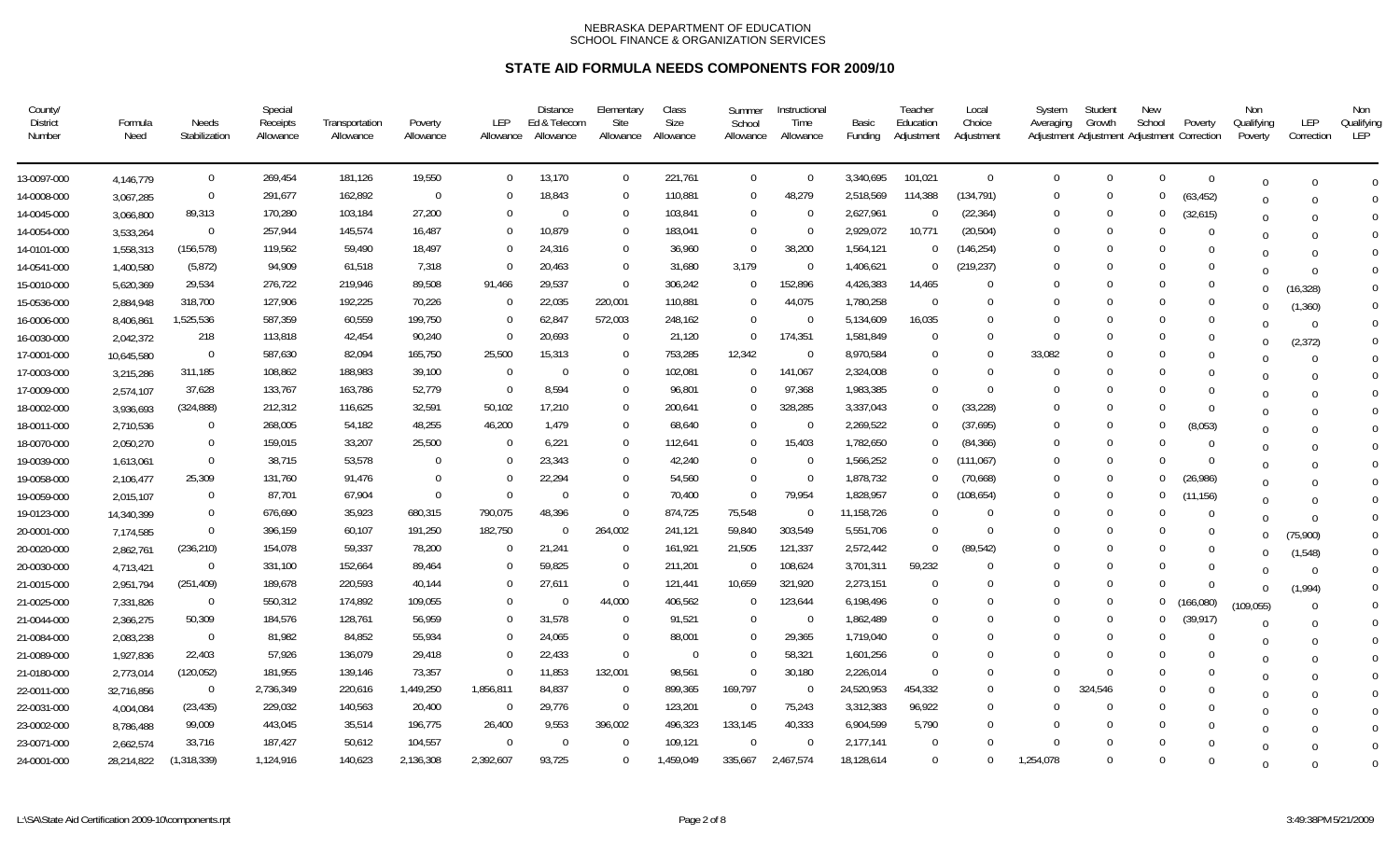| County/<br><b>District</b><br>Number | Formula<br>Need | Needs<br>Stabilization | Special<br>Receipts<br>Allowance | Transportation<br>Allowance | Poverty<br>Allowance | LEP<br>Allowance | <b>Distance</b><br>Ed & Telecom<br>Allowance | Elementary<br>Site<br>Allowance | Class<br>Size<br>Allowance | Summer<br>School<br>Allowance | Instructional<br>Time<br>Allowance | Basic<br>Funding | Teacher<br>Education<br>Adjustment | Local<br>Choice<br>Adjustment | System<br>Averaging | Student<br>Growth<br>Adjustment Adjustment Adjustment Correction | New<br>School  | Poverty        | Non<br>Qualifying<br>Poverty | LEP<br>Correction | Non<br>Qualifying<br><b>LEP</b> |
|--------------------------------------|-----------------|------------------------|----------------------------------|-----------------------------|----------------------|------------------|----------------------------------------------|---------------------------------|----------------------------|-------------------------------|------------------------------------|------------------|------------------------------------|-------------------------------|---------------------|------------------------------------------------------------------|----------------|----------------|------------------------------|-------------------|---------------------------------|
| 13-0097-000                          | 4,146,779       | $\mathbf 0$            | 269,454                          | 181,126                     | 19,550               | $\Omega$         | 13,170                                       | $\overline{0}$                  | 221,761                    | $\overline{0}$                | $\overline{0}$                     | 3,340,695        | 101,021                            | $\Omega$                      | $\Omega$            | $\Omega$                                                         | $\Omega$       | $\overline{0}$ | $\Omega$                     |                   | $\Omega$                        |
| 14-0008-000                          | 3,067,285       | $\mathbf 0$            | 291,677                          | 162,892                     | $\Omega$             |                  | 18,843                                       | $\overline{0}$                  | 110,881                    | $\Omega$                      | 48,279                             | 2,518,569        | 114,388                            | (134, 791)                    | $\Omega$            | $\Omega$                                                         | $\Omega$       | (63, 452)      | <sup>0</sup>                 |                   |                                 |
| 14-0045-000                          | 3,066,800       | 89,313                 | 170,280                          | 103,184                     | 27,200               | $\Omega$         | $\Omega$                                     | $\overline{0}$                  | 103,841                    | $\Omega$                      | $\Omega$                           | 2,627,961        | $\Omega$                           | (22, 364)                     | $\left($            | $\Omega$                                                         | $\bf{0}$       | (32,615)       | $\Omega$                     |                   | $\Omega$                        |
| 14-0054-000                          | 3,533,264       | $\mathbf 0$            | 257,944                          | 145,574                     | 16,487               |                  | 10,879                                       | $\overline{0}$                  | 183,041                    | $\Omega$                      | $\Omega$                           | 2,929,072        | 10,771                             | (20, 504)                     | $\Omega$            | $\Omega$                                                         | $\Omega$       | $\Omega$       | $\Omega$                     |                   | $\Omega$                        |
| 14-0101-000                          | 1,558,313       | (156, 578)             | 119,562                          | 59,490                      | 18,497               |                  | 24,316                                       | $\overline{0}$                  | 36,960                     | $\Omega$                      | 38,200                             | 1,564,121        | $\Omega$                           | (146, 254)                    | $\Omega$            | $\Omega$                                                         | $\Omega$       | $\Omega$       |                              |                   | $\Omega$                        |
| 14-0541-000                          | 1,400,580       | (5, 872)               | 94,909                           | 61,518                      | 7,318                |                  | 20,463                                       | $\overline{0}$                  | 31,680                     | 3,179                         | $\Omega$                           | 1,406,621        | - 0                                | (219, 237)                    | $\Omega$            | $\Omega$                                                         | $\Omega$       | $\Omega$       |                              |                   | $\Omega$                        |
| 15-0010-000                          | 5,620,369       | 29,534                 | 276,722                          | 219,946                     | 89,508               | 91,466           | 29,537                                       | $\overline{0}$                  | 306,242                    | -0                            | 152,896                            | 4,426,383        | 14,465                             | $\Omega$                      | $\left($            | $\Omega$                                                         | $\Omega$       | $\Omega$       | $\Omega$                     | (16, 328)         | $\Omega$                        |
| 15-0536-000                          | 2,884,948       | 318,700                | 127,906                          | 192,225                     | 70,226               | $\Omega$         | 22,035                                       | 220,001                         | 110,881                    | $\Omega$                      | 44,075                             | 1,780,258        | $\Omega$                           | $\cup$                        | $\Omega$            | $\Omega$                                                         | $\Omega$       | $\Omega$       | $\Omega$                     | (1, 360)          | $\Omega$                        |
| 16-0006-000                          | 8,406,861       | 1,525,536              | 587,359                          | 60,559                      | 199,750              | $\Omega$         | 62,847                                       | 572,003                         | 248,162                    | $\Omega$                      | $\Omega$                           | 5,134,609        | 16,035                             |                               | $\Omega$            | <sup>0</sup>                                                     | $\Omega$       | $\Omega$       | $\Omega$                     | $\Omega$          | $\Omega$                        |
| 16-0030-000                          | 2,042,372       | 218                    | 113,818                          | 42,454                      | 90,240               | $\Omega$         | 20,693                                       | $\overline{0}$                  | 21,120                     | $\Omega$                      | 174,351                            | 1,581,849        | $\Omega$                           | $\cup$                        | $\Omega$            | $\Omega$                                                         | $\Omega$       | $\Omega$       | $\Omega$                     | (2, 372)          | $\Omega$                        |
| 17-0001-000                          | 10,645,580      | $\mathbf 0$            | 587,630                          | 82,094                      | 165,750              | 25,500           | 15,313                                       | $\mathbf 0$                     | 753,285                    | 12,342                        | $\Omega$                           | 8,970,584        | $\Omega$                           | $\Omega$                      | 33,082              | $\Omega$                                                         | $\Omega$       | $\Omega$       | $\Omega$                     | $\Omega$          | $\Omega$                        |
| 17-0003-000                          | 3,215,286       | 311,185                | 108,862                          | 188,983                     | 39,100               | $\Omega$         | $\Omega$                                     | $\Omega$                        | 102,081                    | $\Omega$                      | 141,067                            | 2,324,008        | $\Omega$                           | $\Omega$                      | $\Omega$            | $\Omega$                                                         | $\Omega$       | $\Omega$       | ∩                            |                   | $\Omega$                        |
| 17-0009-000                          | 2,574,107       | 37,628                 | 133,767                          | 163,786                     | 52,779               | $\Omega$         | 8,594                                        | $\Omega$                        | 96,801                     | $\Omega$                      | 97,368                             | 1,983,385        | $\Omega$                           | $\Omega$                      | $\Omega$            |                                                                  | $\Omega$       | $\Omega$       | $\Omega$                     |                   | $\Omega$                        |
| 18-0002-000                          | 3,936,693       | (324, 888)             | 212,312                          | 116,625                     | 32,591               | 50,102           | 17,210                                       | $\Omega$                        | 200,641                    | $\Omega$                      | 328,285                            | 3,337,043        | $\Omega$                           | (33, 228)                     | $\Omega$            |                                                                  | $\Omega$       | $\Omega$       | $\Omega$                     |                   | $\Omega$                        |
| 18-0011-000                          | 2,710,536       | $\Omega$               | 268,005                          | 54,182                      | 48,255               | 46,200           | 1,479                                        | $\Omega$                        | 68,640                     | $\Omega$                      | $\Omega$                           | 2,269,522        | $\Omega$                           | (37,695)                      | $\Omega$            | $\Omega$                                                         | $\Omega$       | (8,053)        | $\Omega$                     |                   | $\Omega$                        |
| 18-0070-000                          | 2,050,270       | $\Omega$               | 159,015                          | 33,207                      | 25,500               | $\Omega$         | 6,221                                        | $\overline{0}$                  | 112,641                    | $\Omega$                      | 15,403                             | 1,782,650        | $\Omega$                           | (84, 366)                     | $\Omega$            | $\Omega$                                                         | $\Omega$       | $\Omega$       | $\Omega$                     |                   | $\Omega$                        |
| 19-0039-000                          | 1,613,061       | $\Omega$               | 38,715                           | 53,578                      | $\Omega$             |                  | 23.343                                       | $\Omega$                        | 42,240                     | $\Omega$                      | $\Omega$                           | 1,566,252        | $\Omega$                           | (111, 067)                    | $\Omega$            | $\Omega$                                                         | $\Omega$       | $\Omega$       | $\Omega$                     |                   | $\Omega$                        |
| 19-0058-000                          | 2,106,477       | 25,309                 | 131,760                          | 91,476                      | $\Omega$             |                  | 22,294                                       | $\Omega$                        | 54,560                     | $\Omega$                      | $\Omega$                           | 1,878,732        | $\Omega$                           | (70,668)                      | $\Omega$            | $\Omega$                                                         | $\Omega$       | (26,986)       | $\Omega$                     |                   | $\Omega$                        |
| 19-0059-000                          | 2,015,107       | $\Omega$               | 87,701                           | 67,904                      | $\Omega$             | $\Omega$         | $\Omega$                                     | $\overline{0}$                  | 70,400                     | $\Omega$                      | 79,954                             | 1,828,957        | $\Omega$                           | (108, 654)                    | $\Omega$            | $\Omega$                                                         | $\Omega$       | (11, 156)      | $\Omega$                     |                   | $\Omega$                        |
| 19-0123-000                          | 14,340,399      | $\Omega$               | 676,690                          | 35,923                      | 680,315              | 790,075          | 48,396                                       | $\Omega$                        | 874,725                    | 75,548                        | $\Omega$                           | 11,158,726       |                                    |                               | $\Omega$            | $\Omega$                                                         | $\Omega$       | $\Omega$       | $\Omega$                     | $\Omega$          | $\overline{0}$                  |
| 20-0001-000                          | 7,174,585       | $\Omega$               | 396,159                          | 60,107                      | 191,250              | 182,750          | $\Omega$                                     | 264,002                         | 241,121                    | 59,840                        | 303,549                            | 5,551,706        | $\Omega$                           | $\Omega$                      | $\Omega$            | $\Omega$                                                         | $\Omega$       | $\Omega$       | $\Omega$                     | (75,900)          | $\overline{0}$                  |
| 20-0020-000                          | 2,862,761       | (236, 210)             | 154,078                          | 59,337                      | 78,200               |                  | 21,241                                       | - 0                             | 161,921                    | 21,505                        | 121,337                            | 2,572,442        | $\Omega$                           | (89, 542)                     | $\left($            | $\Omega$                                                         | $\left($       | $\Omega$       | <sup>0</sup>                 | (1, 548)          | $\overline{0}$                  |
| 20-0030-000                          | 4,713,421       | $\overline{0}$         | 331,100                          | 152,664                     | 89,464               |                  | 59,825                                       | - 0                             | 211,201                    |                               | 108,624                            | 3,701,311        | 59,232                             |                               | $\Omega$            | $\Omega$                                                         | $\Omega$       | $\Omega$       |                              | $\Omega$          | $\overline{0}$                  |
| 21-0015-000                          | 2,951,794       | (251, 409)             | 189,678                          | 220,593                     | 40,144               |                  | 27,611                                       | $\overline{0}$                  | 121,441                    | 10,659                        | 321,920                            | 2,273,151        | $\Omega$                           | $\cup$                        | $\Omega$            | $\Omega$                                                         | $\Omega$       | $\Omega$       | $\Omega$                     | (1,994)           | $\overline{0}$                  |
| 21-0025-000                          | 7,331,826       | $\Omega$               | 550,312                          | 174,892                     | 109,055              |                  |                                              | 44,000                          | 406,562                    | $\Omega$                      | 123,644                            | 6,198,496        | - 0                                |                               | $\Omega$            | $\Omega$                                                         | $\Omega$       | (166, 080)     | (109, 055)                   |                   | $\overline{0}$                  |
| 21-0044-000                          | 2,366,275       | 50,309                 | 184,576                          | 128,761                     | 56,959               |                  | 31,578                                       | $\Omega$                        | 91,521                     | $\Omega$                      | $\Omega$                           | 1,862,489        | $\Omega$                           |                               | $\Omega$            | $\Omega$                                                         | $\overline{0}$ | (39,917)       | $\Omega$                     |                   | $\theta$                        |
| 21-0084-000                          | 2,083,238       | $\overline{0}$         | 81,982                           | 84,852                      | 55,934               |                  | 24,065                                       | $\overline{0}$                  | 88,001                     | $\Omega$                      | 29,365                             | 1,719,040        | $\Omega$                           |                               | $\Omega$            | $\Omega$                                                         | $\Omega$       | $\Omega$       | $\Omega$                     |                   | $\Omega$                        |
| 21-0089-000                          | 1,927,836       | 22,403                 | 57,926                           | 136,079                     | 29,418               |                  | 22,433                                       | $\overline{0}$                  | $\Omega$                   | $\Omega$                      | 58,321                             | 1,601,256        | $\Omega$                           | $\cup$                        | $\Omega$            | $\Omega$                                                         | $\Omega$       |                | $\Omega$                     |                   | $\Omega$                        |
| 21-0180-000                          | 2,773,014       | (120, 052)             | 181,955                          | 139,146                     | 73,357               | $\Omega$         | 11,853                                       | 132,001                         | 98,561                     | $\Omega$                      | 30,180                             | 2,226,014        | $\Omega$                           | $\cup$                        | $\Omega$            | $\Omega$                                                         | $\Omega$       | 0              | $\Omega$                     |                   | $\Omega$                        |
| 22-0011-000                          | 32,716,856      | $\overline{0}$         | 2,736,349                        | 220,616                     | 1,449,250            | 1,856,811        | 84,837                                       | - 0                             | 899,365                    | 169,797                       | $\overline{0}$                     | 24,520,953       | 454,332                            | $\Omega$                      | $\Omega$            | 324,546                                                          | $\Omega$       | $\Omega$       | $\Omega$                     |                   | $\Omega$                        |
| 22-0031-000                          | 4,004,084       | (23, 435)              | 229,032                          | 140,563                     | 20,400               | $\Omega$         | 29,776                                       | $\overline{0}$                  | 123,201                    | - 0                           | 75,243                             | 3,312,383        | 96,922                             | $\Omega$                      | $\Omega$            | $\Omega$                                                         | $\Omega$       | $\Omega$       | ∩                            |                   | $\overline{0}$                  |
| 23-0002-000                          | 8,786,488       | 99,009                 | 443,045                          | 35,514                      | 196,775              | 26,400           | 9,553                                        | 396,002                         | 496,323                    | 133,145                       | 40,333                             | 6,904,599        | 5,790                              |                               | $\Omega$            | $\Omega$                                                         | $\Omega$       | $\Omega$       |                              |                   | $\overline{0}$                  |
| 23-0071-000                          | 2,662,574       | 33,716                 | 187,427                          | 50,612                      | 104,557              | $\Omega$         | $\Omega$                                     | $\mathbf 0$                     | 109,121                    | $\Omega$                      | $\Omega$                           | 2,177,141        | $\Omega$                           | $\Omega$                      | $\Omega$            | $\Omega$                                                         | $\Omega$       |                | $\Omega$                     |                   | $\Omega$                        |
| 24-0001-000                          | 28,214,822      | (1, 318, 339)          | 1,124,916                        | 140,623                     | 2,136,308            | 2,392,607        | 93,725                                       | $\Omega$                        | 1,459,049                  | 335,667                       | 2,467,574                          | 18,128,614       | $\Omega$                           | $\Omega$                      | 1,254,078           | $\Omega$                                                         | $\Omega$       | $\Omega$       | $\Omega$                     |                   | $\Omega$                        |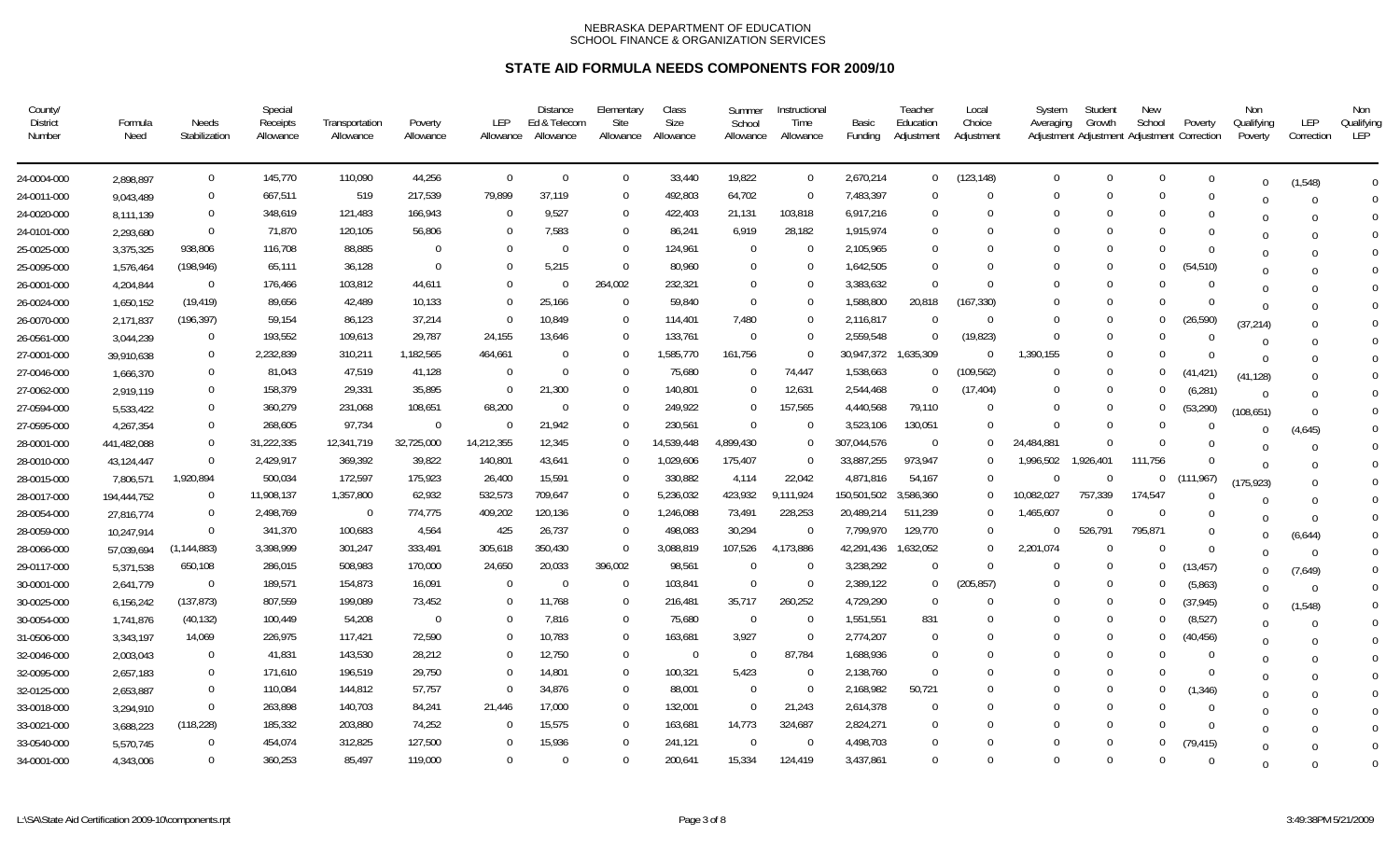| County/<br><b>District</b><br>Number | Formula<br>Need | Needs<br>Stabilization | Special<br>Receipts<br>Allowance | Transportation<br>Allowance | Poverty<br>Allowance | LEP<br>Allowance | <b>Distance</b><br>Ed & Telecom<br>Allowance | Elementary<br>Site<br>Allowance | Class<br>Size<br>Allowance | Summer<br>School<br>Allowance | Instructional<br>Time<br>Allowance | Basic<br>Funding     | Teacher<br>Education<br>Adjustment | Local<br>Choice<br>Adjustment | System<br>Averaging | Student<br>Growth<br>Adjustment Adjustment Adjustment Correction | New<br>School  | Poverty    | Non<br>Qualifying<br>Poverty | LEP<br>Correction | Non<br>Qualifying<br>LEP |
|--------------------------------------|-----------------|------------------------|----------------------------------|-----------------------------|----------------------|------------------|----------------------------------------------|---------------------------------|----------------------------|-------------------------------|------------------------------------|----------------------|------------------------------------|-------------------------------|---------------------|------------------------------------------------------------------|----------------|------------|------------------------------|-------------------|--------------------------|
| 24-0004-000                          | 2,898,897       | $\mathbf 0$            | 145,770                          | 110,090                     | 44,256               | $\Omega$         | $\Omega$                                     | $\mathbf{0}$                    | 33,440                     | 19,822                        | $\overline{0}$                     | 2,670,214            | $\overline{0}$                     | (123, 148)                    | $\Omega$            | $\Omega$                                                         | $\overline{0}$ | $\Omega$   | $\Omega$                     | (1, 548)          | $\Omega$                 |
| 24-0011-000                          | 9,043,489       | $\overline{0}$         | 667,511                          | 519                         | 217,539              | 79,899           | 37,119                                       | $\Omega$                        | 492,803                    | 64,702                        | $\Omega$                           | 7,483,397            | $\Omega$                           | $\Omega$                      | $\Omega$            | $\Omega$                                                         | $\Omega$       | $\Omega$   |                              |                   | $\Omega$                 |
| 24-0020-000                          | 8,111,139       | $\mathbf{0}$           | 348,619                          | 121,483                     | 166,943              | $\Omega$         | 9,527                                        | $\bf{0}$                        | 422,403                    | 21,131                        | 103,818                            | 6,917,216            | $\Omega$                           | $\cup$                        | $\Omega$            | $\Omega$                                                         | $\Omega$       | 0          |                              |                   | $\Omega$                 |
| 24-0101-000                          | 2,293,680       | $\overline{0}$         | 71,870                           | 120,105                     | 56,806               | $\Omega$         | 7,583                                        | $\Omega$                        | 86,241                     | 6,919                         | 28,182                             | 1,915,974            | $\Omega$                           | $\cup$                        | $\Omega$            | $\Omega$                                                         | $\Omega$       | $\Omega$   |                              |                   | $\Omega$                 |
| 25-0025-000                          | 3,375,325       | 938,806                | 116,708                          | 88,885                      | $\Omega$             | $\Omega$         | $\Omega$                                     | $\overline{0}$                  | 124,961                    | - 0                           | $\Omega$                           | 2,105,965            | $\Omega$                           | $\Omega$                      | $\Omega$            | $\Omega$                                                         | $\Omega$       | $\Omega$   | $\Omega$                     |                   | $\Omega$                 |
| 25-0095-000                          | 1,576,464       | (198, 946)             | 65,111                           | 36,128                      | $\Omega$             |                  | 5,215                                        | $\overline{0}$                  | 80,960                     | $\Omega$                      | $\Omega$                           | 1,642,505            | $\Omega$                           |                               | $\Omega$            | $\Omega$                                                         | $\Omega$       | (54, 510)  |                              |                   | $\Omega$                 |
| 26-0001-000                          | 4,204,844       | $\Omega$               | 176,466                          | 103,812                     | 44,611               | 0                |                                              | 264,002                         | 232,321                    | $\Omega$                      | $\Omega$                           | 3,383,632            | $\Omega$                           | $\Omega$                      | $\Omega$            | $\Omega$                                                         | $\Omega$       |            | $\Omega$                     |                   | $\Omega$                 |
| 26-0024-000                          | 1,650,152       | (19, 419)              | 89,656                           | 42,489                      | 10,133               | 0                | 25,166                                       | $\overline{0}$                  | 59,840                     | $\overline{0}$                | $\Omega$                           | 1,588,800            | 20,818                             | (167, 330)                    | $\Omega$            | $\Omega$                                                         | $\Omega$       | $\Omega$   | $\Omega$                     |                   | $\Omega$                 |
| 26-0070-000                          | 2,171,837       | (196, 397)             | 59,154                           | 86,123                      | 37,214               |                  | 10,849                                       | $\Omega$                        | 114,401                    | 7,480                         | $\Omega$                           | 2,116,817            |                                    | $\Omega$                      | $\Omega$            | $\Omega$                                                         | $\Omega$       | (26, 590)  | (37, 214)                    |                   | $\Omega$                 |
| 26-0561-000                          | 3,044,239       | $\Omega$               | 193,552                          | 109,613                     | 29,787               | 24,155           | 13,646                                       | $\Omega$                        | 133,761                    | $\Omega$                      | $\Omega$                           | 2,559,548            |                                    | (19, 823)                     | $\Omega$            | - 0                                                              | $\Omega$       | $\Omega$   | $\Omega$                     |                   | $\Omega$                 |
| 27-0001-000                          | 39,910,638      | $\Omega$               | 2,232,839                        | 310,211                     | 1,182,565            | 464,661          |                                              | $\Omega$                        | 1,585,770                  | 161,756                       | $\Omega$                           | 30,947,372 1,635,309 |                                    | $\Omega$                      | 1,390,155           | $\Omega$                                                         | $\Omega$       | $\Omega$   | $\Omega$                     |                   | $\Omega$                 |
| 27-0046-000                          | 1,666,370       | $\mathbf{0}$           | 81,043                           | 47,519                      | 41,128               | $\Omega$         |                                              | $\Omega$                        | 75,680                     | $\Omega$                      | 74,447                             | 1,538,663            | $\Omega$                           | (109, 562)                    | $\Omega$            | $\Omega$                                                         | $\Omega$       | (41, 421)  | (41, 128)                    |                   | $\Omega$                 |
| 27-0062-000                          | 2,919,119       | $\Omega$               | 158,379                          | 29,331                      | 35,895               | $\Omega$         | 21,300                                       | $\Omega$                        | 140,801                    | $\Omega$                      | 12,631                             | 2,544,468            |                                    | (17, 404)                     | $\Omega$            | $\Omega$                                                         | $\Omega$       | (6, 281)   | $\Omega$                     |                   | $\Omega$                 |
| 27-0594-000                          | 5,533,422       | $\Omega$               | 360,279                          | 231,068                     | 108,651              | 68,200           |                                              | $\Omega$                        | 249,922                    | $\Omega$                      | 157,565                            | 4,440,568            | 79,110                             | $\cup$                        | $\Omega$            | $\Omega$                                                         | $\Omega$       | (53, 290)  | (108, 651)                   |                   | $\Omega$                 |
| 27-0595-000                          | 4,267,354       | $\Omega$               | 268,605                          | 97,734                      | $\Omega$             |                  | 21,942                                       | $\Omega$                        | 230,561                    | $\Omega$                      | $\Omega$                           | 3,523,106            | 130,051                            | $\Omega$                      | $\Omega$            | $\Omega$                                                         | $\Omega$       | -0         | $\Omega$                     | (4,645)           | $\Omega$                 |
| 28-0001-000                          | 441,482,088     | $\Omega$               | 31,222,335                       | 12,341,719                  | 32,725,000           | 14,212,355       | 12,345                                       | $\Omega$                        | 14,539,448                 | ,899,430                      | $\Omega$                           | 307,044,576          | $\Omega$                           | $\Omega$                      | 24,484,881          | $\Omega$                                                         | $\Omega$       |            |                              |                   | $\overline{0}$           |
| 28-0010-000                          | 43,124,447      | $\Omega$               | 2,429,917                        | 369,392                     | 39,822               | 140,801          | 43,641                                       | $\Omega$                        | 1,029,606                  | 175,407                       | $\Omega$                           | 33,887,255           | 973,947                            | $\Omega$                      | 1,996,502           | 1,926,401                                                        | 111.756        | $\Omega$   | $\Omega$                     |                   | $\Omega$                 |
| 28-0015-000                          | 7,806,571       | 1,920,894              | 500,034                          | 172,597                     | 175,923              | 26,400           | 15,591                                       | $\Omega$                        | 330,882                    | 4,114                         | 22,042                             | 4,871,816            | 54,167                             | $\Omega$                      | $\Omega$            | $\Omega$                                                         | $\mathbf 0$    | (111, 967) | (175, 923)                   |                   | $\Omega$                 |
| 28-0017-000                          | 194,444,752     | $\Omega$               | 11,908,137                       | 1,357,800                   | 62,932               | 532,573          | 709,647                                      | $\Omega$                        | 5,236,032                  | 423,932                       | 9,111,924                          | 150,501,502          | 3,586,360                          | $\Omega$                      | 10,082,027          | 757,339                                                          | 174,547        | $\Omega$   | $\Omega$                     |                   | $\Omega$                 |
| 28-0054-000                          | 27,816,774      | $\Omega$               | 2,498,769                        | $\overline{0}$              | 774,775              | 409,202          | 120,136                                      | $\Omega$                        | 1,246,088                  | 73,491                        | 228,253                            | 20,489,214           | 511,239                            | $\Omega$                      | 1,465,607           | $\Omega$                                                         | $\Omega$       | $\Omega$   |                              | $\Omega$          | $\mathbf 0$              |
| 28-0059-000                          | 10,247,914      | $\Omega$               | 341,370                          | 100,683                     | 4,564                | 425              | 26,737                                       | $\Omega$                        | 498,083                    | 30,294                        | $\Omega$                           | 7,799,970            | 129,770                            | $\Omega$                      | $\Omega$            | 526,791                                                          | 795,871        | $\Omega$   | U                            | (6,644)           | $\mathbf 0$              |
| 28-0066-000                          | 57,039,694      | (1, 144, 883)          | 3,398,999                        | 301,247                     | 333,491              | 305,618          | 350,430                                      | $\mathbf 0$                     | 3,088,819                  | 107,526                       | 4,173,886                          | 42,291,436           | 1,632,052                          | $\Omega$                      | 2,201,074           |                                                                  | 0              | $\Omega$   | U                            | $\Omega$          | $\mathbf 0$              |
| 29-0117-000                          | 5,371,538       | 650,108                | 286,015                          | 508,983                     | 170,000              | 24,650           | 20,033                                       | 396,002                         | 98,561                     | - 0                           | $\Omega$                           | 3,238,292            | $\Omega$                           | $\Omega$                      | $\Omega$            | - 0                                                              | $\bf{0}$       | (13, 457)  | $\Omega$                     | (7,649)           | $\overline{0}$           |
| 30-0001-000                          | 2,641,779       | $\Omega$               | 189,571                          | 154,873                     | 16,091               | $\Omega$         |                                              | $\overline{0}$                  | 103,841                    | $\Omega$                      | $\Omega$                           | 2,389,122            | $\Omega$                           | (205, 857)                    | $\Omega$            | $\Omega$                                                         | $\Omega$       | (5,863)    | $\Omega$                     |                   | $\mathbf 0$              |
| 30-0025-000                          | 6,156,242       | (137, 873)             | 807,559                          | 199,089                     | 73,452               | $\Omega$         | 11,768                                       | $\Omega$                        | 216,481                    | 35,717                        | 260,252                            | 4,729,290            | $\Omega$                           | $\Omega$                      | $\Omega$            | $\Omega$                                                         | $\Omega$       | (37, 945)  | $\Omega$                     | (1, 548)          | $\mathbf 0$              |
| 30-0054-000                          | 1,741,876       | (40, 132)              | 100,449                          | 54,208                      | $\mathbf{0}$         |                  | 7,816                                        | $\mathbf 0$                     | 75,680                     | - 0                           | - 0                                | 1,551,551            | 831                                |                               | $\Omega$            | $\Omega$                                                         | $\Omega$       | (8,527)    | $\Omega$                     |                   | $\mathbf 0$              |
| 31-0506-000                          | 3,343,197       | 14,069                 | 226,975                          | 117,421                     | 72,590               |                  | 10,783                                       | $\overline{0}$                  | 163,681                    | 3,927                         | $\Omega$                           | 2,774,207            | $\Omega$                           |                               | $\Omega$            | $\Omega$                                                         | $\bf{0}$       | (40, 456)  | $\Omega$                     |                   | $\Omega$                 |
| 32-0046-000                          | 2,003,043       | $\Omega$               | 41,831                           | 143,530                     | 28,212               | 0                | 12,750                                       | $\Omega$                        | $\Omega$                   | $\Omega$                      | 87,784                             | 1,688,936            | $\Omega$                           |                               | $\Omega$            | $\Omega$                                                         | $\Omega$       | $\Omega$   | $\Omega$                     |                   | $\overline{0}$           |
| 32-0095-000                          | 2,657,183       | $\Omega$               | 171,610                          | 196,519                     | 29,750               | $\Omega$         | 14,801                                       | $\Omega$                        | 100,321                    | 5,423                         | $\Omega$                           | 2,138,760            | $\Omega$                           |                               | $\Omega$            | - 0                                                              | $\Omega$       | - 0        | $\Omega$                     |                   | $\Omega$                 |
| 32-0125-000                          | 2,653,887       | $\mathbf{0}$           | 110,084                          | 144,812                     | 57,757               | $\Omega$         | 34,876                                       | 0                               | 88,001                     | - 0                           | $\Omega$                           | 2,168,982            | 50,721                             |                               | $\Omega$            | $\Omega$                                                         | 0              | (1, 346)   | $\Omega$                     |                   | $\Omega$                 |
| 33-0018-000                          | 3,294,910       | $\Omega$               | 263,898                          | 140,703                     | 84,241               | 21,446           | 17,000                                       | $\Omega$                        | 132,001                    | $\overline{0}$                | 21,243                             | 2,614,378            | $\Omega$                           |                               | $\Omega$            | $\Omega$                                                         | $\Omega$       | $\Omega$   | U                            |                   | $\overline{0}$           |
| 33-0021-000                          | 3,688,223       | (118, 228)             | 185,332                          | 203,880                     | 74,252               | $\Omega$         | 15,575                                       | $\mathbf 0$                     | 163,681                    | 14,773                        | 324,687                            | 2,824,271            | $\Omega$                           |                               | $\Omega$            | $\Omega$                                                         | $\Omega$       | $\Omega$   |                              |                   | $\overline{0}$           |
| 33-0540-000                          | 5,570,745       | $\Omega$               | 454,074                          | 312,825                     | 127,500              | $\Omega$         | 15,936                                       | 0                               | 241,121                    | - 0                           | - 0                                | 4,498,703            | $\Omega$                           |                               | $\Omega$            | $\Omega$                                                         | 0              | (79,415)   | $\Omega$                     |                   | $\Omega$                 |
| 34-0001-000                          | 4,343,006       | $\Omega$               | 360,253                          | 85,497                      | 119,000              | 0                |                                              | $\Omega$                        | 200,641                    | 15,334                        | 124,419                            | 3,437,861            | $\Omega$                           | $\Omega$                      | $\Omega$            | $\Omega$                                                         | $\Omega$       | $\Omega$   | $\Omega$                     |                   | $\Omega$                 |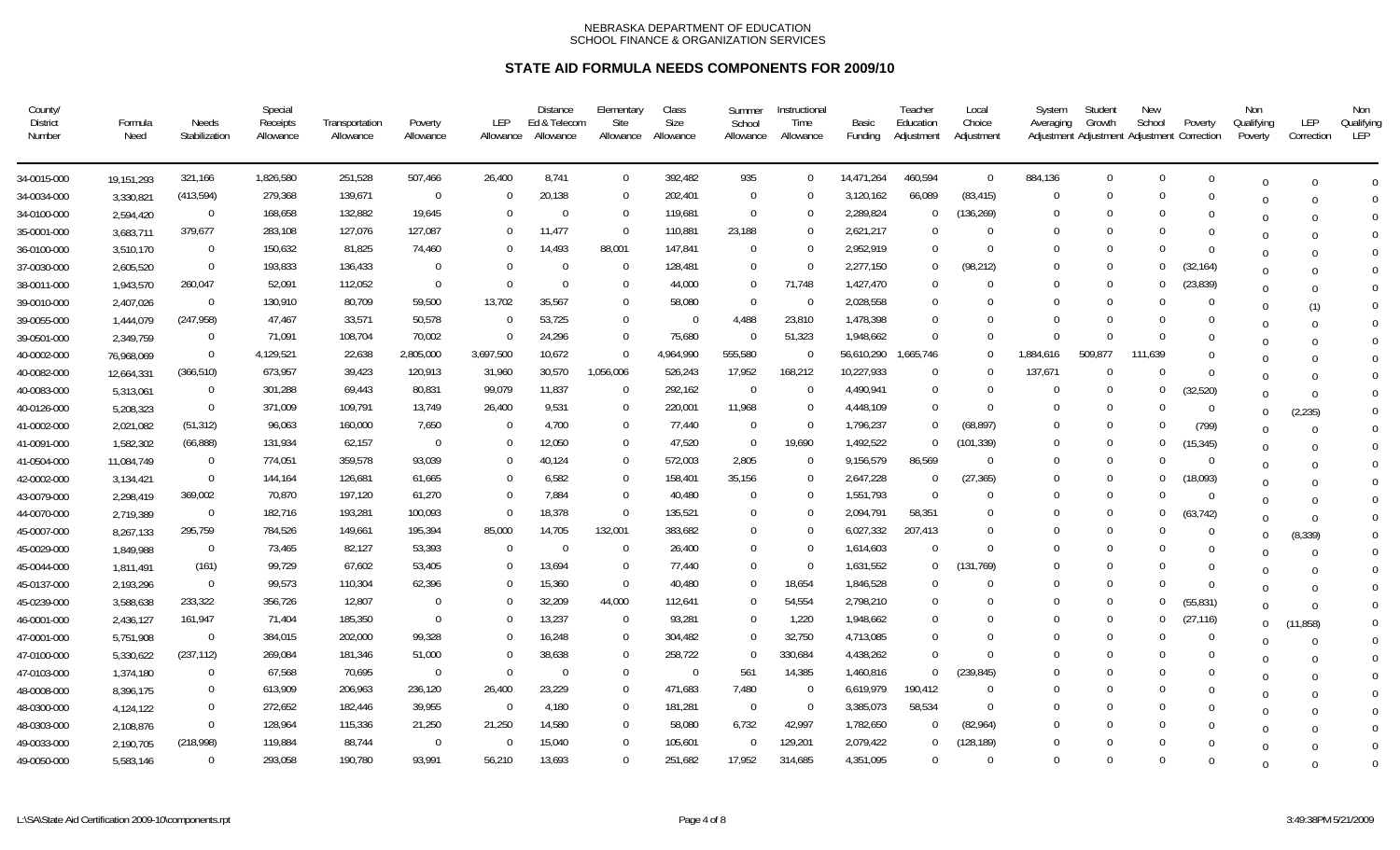| County/<br><b>District</b><br>Number | Formula<br>Need | Needs<br>Stabilization | Special<br>Receipts<br>Allowance | Transportation<br>Allowance | Poverty<br>Allowance | LEP<br>Allowance | <b>Distance</b><br>Ed & Telecom<br>Allowance | Elementary<br>Site<br>Allowance | Class<br>Size<br>Allowance | Summer<br>School<br>Allowance | Instructional<br>Time<br>Allowance | Basic<br>Funding | Teacher<br>Education<br>Adjustment | Local<br>Choice<br>Adjustment | System<br>Averaging | Student<br>Growth<br>Adjustment Adjustment Adjustment Correction | New<br>School | Poverty   | Non<br>Qualifying<br>Poverty | LEP<br>Correction | Non<br>Qualifying<br>LEP |
|--------------------------------------|-----------------|------------------------|----------------------------------|-----------------------------|----------------------|------------------|----------------------------------------------|---------------------------------|----------------------------|-------------------------------|------------------------------------|------------------|------------------------------------|-------------------------------|---------------------|------------------------------------------------------------------|---------------|-----------|------------------------------|-------------------|--------------------------|
| 34-0015-000                          | 19,151,293      | 321,166                | 1,826,580                        | 251,528                     | 507,466              | 26,400           | 8.741                                        | $\mathbf{0}$                    | 392,482                    | 935                           | $\Omega$                           | 14,471,264       | 460,594                            | $\overline{0}$                | 884,136             | $\overline{0}$                                                   | $\mathbf 0$   | $\Omega$  | $\cap$                       |                   | $\Omega$                 |
| 34-0034-000                          | 3,330,821       | (413, 594)             | 279,368                          | 139,671                     | $\mathbf 0$          | $\Omega$         | 20,138                                       | $\Omega$                        | 202,401                    | $\overline{0}$                | $\Omega$                           | 3,120,162        | 66,089                             | (83, 415)                     | $\Omega$            | $\Omega$                                                         | $\Omega$      | $\Omega$  |                              |                   | $\Omega$                 |
| 34-0100-000                          | 2,594,420       | $\overline{0}$         | 168,658                          | 132,882                     | 19,645               | $\Omega$         | -0                                           | $\overline{0}$                  | 119,681                    | - 0                           | - 0                                | 2,289,824        | $\Omega$                           | (136, 269)                    | $\Omega$            | $\Omega$                                                         | $\Omega$      | 0         | $\Omega$                     |                   | $\Omega$                 |
| 35-0001-000                          | 3,683,711       | 379,677                | 283,108                          | 127,076                     | 127,087              | $\Omega$         | 11,477                                       | $\overline{0}$                  | 110,881                    | 23,188                        | $\Omega$                           | 2,621,217        | $\Omega$                           | $\Omega$                      | $\Omega$            | $\Omega$                                                         | $\Omega$      | 0         |                              |                   | $\Omega$                 |
| 36-0100-000                          | 3,510,170       | $\overline{0}$         | 150,632                          | 81,825                      | 74,460               | $\Omega$         | 14,493                                       | 88,001                          | 147,841                    | - 0                           | $\Omega$                           | 2,952,919        | $\Omega$                           | $\Omega$                      | $\Omega$            | $\Omega$                                                         | $\Omega$      | $\Omega$  | $\Omega$                     |                   | $\Omega$                 |
| 37-0030-000                          | 2,605,520       | $\Omega$               | 193,833                          | 136,433                     | $\Omega$             | $\Omega$         | $\Omega$                                     | $\mathbf 0$                     | 128,481                    | $\Omega$                      | $\Omega$                           | 2,277,150        | $\Omega$                           | (98, 212)                     | $\Omega$            | $\Omega$                                                         | $\Omega$      | (32, 164) | $\Omega$                     |                   | $\Omega$                 |
| 38-0011-000                          | 1,943,570       | 260,047                | 52,091                           | 112,052                     | $\Omega$             | 0                |                                              | $\Omega$                        | 44,000                     | $\Omega$                      | 71,748                             | 1,427,470        | $\Omega$                           | $\Omega$                      | $\Omega$            | $\Omega$                                                         | $\mathbf 0$   | (23, 839) | $\Omega$                     |                   | $\Omega$                 |
| 39-0010-000                          | 2,407,026       | $\Omega$               | 130,910                          | 80,709                      | 59,500               | 13,702           | 35,567                                       | $\Omega$                        | 58,080                     | $\overline{0}$                | $\Omega$                           | 2,028,558        | $\Omega$                           | $\cup$                        | $\Omega$            | $\Omega$                                                         | $\Omega$      | $\Omega$  | $\Omega$                     | (1)               | $\Omega$                 |
| 39-0055-000                          | 1,444,079       | (247, 958)             | 47,467                           | 33,571                      | 50,578               | $\Omega$         | 53,725                                       | $\Omega$                        | $\Omega$                   | 4,488                         | 23,810                             | 1,478,398        | $\Omega$                           |                               | $\Omega$            | $\Omega$                                                         | $\Omega$      | $\Omega$  | 0                            |                   | $\Omega$                 |
| 39-0501-000                          | 2,349,759       | $\Omega$               | 71,091                           | 108,704                     | 70,002               |                  | 24,296                                       | $\Omega$                        | 75,680                     | - 0                           | 51,323                             | 1,948,662        | $\Omega$                           | $\Omega$                      | $\Omega$            | $\Omega$                                                         | $\Omega$      | $\Omega$  | 0                            |                   | $\Omega$                 |
| 40-0002-000                          | 76,968,069      | $\Omega$               | 4,129,521                        | 22,638                      | 2,805,000            | 3,697,500        | 10,672                                       | $\Omega$                        | 4,964,990                  | 555,580                       | $\Omega$                           | 56,610,290       | 1,665,746                          | $\Omega$                      | 1,884,616           | 509,877                                                          | 111,639       | $\Omega$  |                              |                   | $\Omega$                 |
| 40-0082-000                          | 12,664,331      | (366, 510)             | 673,957                          | 39,423                      | 120,913              | 31,960           | 30,570                                       | 1,056,006                       | 526,243                    | 17,952                        | 168,212                            | 10,227,933       | $\Omega$                           | $\Omega$                      | 137,671             | $\Omega$                                                         | $\Omega$      | $\Omega$  | U                            |                   | $\Omega$                 |
| 40-0083-000                          | 5,313,061       | $\Omega$               | 301,288                          | 69,443                      | 80,831               | 99,079           | 11,837                                       | $\overline{0}$                  | 292,162                    | $\overline{0}$                | $\Omega$                           | 4,490,941        | $\Omega$                           | $\Omega$                      | $\Omega$            | $\Omega$                                                         | $\Omega$      | (32, 520) | $\Omega$                     |                   | $\Omega$                 |
| 40-0126-000                          | 5,208,323       | $\Omega$               | 371,009                          | 109,791                     | 13,749               | 26,400           | 9,531                                        | $\Omega$                        | 220,001                    | 11,968                        | $\Omega$                           | 4,448,109        | $\Omega$                           | $\Omega$                      | $\Omega$            | $\Omega$                                                         | $\Omega$      | - 0       | $\Omega$                     | (2, 235)          | $\Omega$                 |
| 41-0002-000                          | 2,021,082       | (51, 312)              | 96,063                           | 160,000                     | 7,650                | $\Omega$         | 4,700                                        | $\mathbf 0$                     | 77,440                     | $\overline{0}$                | $\Omega$                           | 1,796,237        | $\Omega$                           | (68, 897)                     | $\Omega$            | $\Omega$                                                         | $\Omega$      | (799)     | $\Omega$                     |                   | $\Omega$                 |
| 41-0091-000                          | 1,582,302       | (66, 888)              | 131,934                          | 62,157                      | $\Omega$             | $\Omega$         | 12,050                                       | $\Omega$                        | 47,520                     | $\overline{0}$                | 19,690                             | 1,492,522        | $\Omega$                           | (101,339)                     | $\Omega$            | $\Omega$                                                         | $\Omega$      | (15, 345) | $\Omega$                     |                   | $\Omega$                 |
| 41-0504-000                          | 11,084,749      | $\Omega$               | 774,051                          | 359,578                     | 93,039               | $\Omega$         | 40,124                                       | $\Omega$                        | 572,003                    | 2,805                         | $\Omega$                           | 9,156,579        | 86,569                             | $\Omega$                      | $\Omega$            | $\Omega$                                                         | $\Omega$      | $\Omega$  | $\Omega$                     |                   | $\Omega$                 |
| 42-0002-000                          | 3,134,421       | $\overline{0}$         | 144,164                          | 126,681                     | 61,665               | $\Omega$         | 6,582                                        | $\mathbf 0$                     | 158,401                    | 35,156                        | $\Omega$                           | 2,647,228        | $\Omega$                           | (27, 365)                     | $\Omega$            | $\Omega$                                                         | $\mathbf{0}$  | (18,093)  | $\Omega$                     |                   | $\Omega$                 |
| 43-0079-000                          | 2,298,419       | 369,002                | 70,870                           | 197,120                     | 61,270               | $\Omega$         | 7,884                                        | $\Omega$                        | 40,480                     | $\Omega$                      | $\Omega$                           | 1,551,793        | $\Omega$                           |                               | $\Omega$            | $\Omega$                                                         | $\Omega$      | $\Omega$  | $\Omega$                     |                   | $\Omega$                 |
| 44-0070-000                          | 2,719,389       | $\Omega$               | 182,716                          | 193,281                     | 100,093              | $\Omega$         | 18,378                                       | $\Omega$                        | 135,521                    | $\Omega$                      | $\Omega$                           | 2,094,791        | 58,351                             |                               | $\Omega$            | $\Omega$                                                         | $\Omega$      | (63, 742) | $\Omega$                     | $\Omega$          | $\mathbf 0$              |
| 45-0007-000                          | 8,267,133       | 295,759                | 784,526                          | 149,661                     | 195,394              | 85,000           | 14,705                                       | 132,001                         | 383,682                    | $\Omega$                      | $\Omega$                           | 6,027,332        | 207,413                            |                               | $\Omega$            | $\Omega$                                                         | $\Omega$      | $\Omega$  | U                            | (8, 339)          | $\mathbf 0$              |
| 45-0029-000                          | 1,849,988       | $\mathbf{0}$           | 73,465                           | 82,127                      | 53,393               | $\Omega$         |                                              | $\mathbf 0$                     | 26,400                     | 0                             | $\Omega$                           | 1,614,603        | $\Omega$                           | $\Omega$                      | $\Omega$            |                                                                  | $\Omega$      | $\Omega$  |                              | $\Omega$          | $\overline{0}$           |
| 45-0044-000                          | 1,811,491       | (161)                  | 99,729                           | 67,602                      | 53,405               | $\Omega$         | 13,694                                       | $\overline{0}$                  | 77,440                     | $\Omega$                      | - 0                                | 1,631,552        | $\Omega$                           | (131,769)                     | $\Omega$            | $\Omega$                                                         | $\Omega$      | $\Omega$  | $\cup$                       |                   | $\mathbf 0$              |
| 45-0137-000                          | 2,193,296       | $\Omega$               | 99,573                           | 110,304                     | 62,396               |                  | 15,360                                       | $\Omega$                        | 40,480                     | $\Omega$                      | 18,654                             | 1,846,528        | $\Omega$                           | $\cup$                        | $\Omega$            | $\Omega$                                                         | $\Omega$      | $\Omega$  | $\Omega$                     |                   | $\mathbf 0$              |
| 45-0239-000                          | 3,588,638       | 233,322                | 356,726                          | 12,807                      | $\Omega$             | $\Omega$         | 32,209                                       | 44,000                          | 112,641                    | - 0                           | 54,554                             | 2,798,210        | $\Omega$                           | $\Omega$                      | $\Omega$            | $\Omega$                                                         | $\Omega$      | (55, 831) | $\Omega$                     | $\Omega$          | $\mathbf 0$              |
| 46-0001-000                          | 2,436,127       | 161,947                | 71,404                           | 185,350                     | $\Omega$             |                  | 13,237                                       | $\overline{0}$                  | 93,281                     | - 0                           | 1,220                              | 1,948,662        | $\Omega$                           |                               | $\Omega$            | $\Omega$                                                         | $\bf{0}$      | (27, 116) | $\Omega$                     | (11, 858)         | $\mathbf 0$              |
| 47-0001-000                          | 5,751,908       | $\mathbf{0}$           | 384,015                          | 202,000                     | 99,328               |                  | 16,248                                       | $\overline{0}$                  | 304,482                    | - 0                           | 32,750                             | 4,713,085        | $\Omega$                           | $\cup$                        | $\Omega$            | $\Omega$                                                         | $\Omega$      | $\Omega$  | $\cup$                       |                   | $\mathbf 0$              |
| 47-0100-000                          | 5,330,622       | (237, 112)             | 269,084                          | 181,346                     | 51,000               | $\Omega$         | 38,638                                       | $\overline{0}$                  | 258,722                    | $\Omega$                      | 330,684                            | 4,438,262        | $\Omega$                           | $\Omega$                      | $\Omega$            | $\Omega$                                                         | $\Omega$      | $\Omega$  | $\Omega$                     |                   | $\overline{0}$           |
| 47-0103-000                          | 1,374,180       | $\Omega$               | 67,568                           | 70,695                      | $\Omega$             | $\Omega$         | $\Omega$                                     | $\Omega$                        | $\mathbf 0$                | 561                           | 14,385                             | 1,460,816        | $\Omega$                           | (239, 845)                    | $\Omega$            | $\Omega$                                                         | $\Omega$      | 0         | $\Omega$                     |                   | $\Omega$                 |
| 48-0008-000                          | 8,396,175       | $\mathbf{0}$           | 613,909                          | 206,963                     | 236,120              | 26,400           | 23,229                                       | $\mathbf 0$                     | 471,683                    | 7,480                         | - 0                                | 6,619,979        | 190,412                            | $\Omega$                      | $\Omega$            | $\Omega$                                                         | $\Omega$      | 0         | $\Omega$                     |                   | $\Omega$                 |
| 48-0300-000                          | 4,124,122       | $\overline{0}$         | 272,652                          | 182,446                     | 39,955               | $\overline{0}$   | 4,180                                        | $\Omega$                        | 181,281                    | $\overline{0}$                | $\overline{0}$                     | 3,385,073        | 58,534                             | $\Omega$                      | $\Omega$            | $\Omega$                                                         | $\Omega$      | 0         | U                            |                   | $\overline{0}$           |
| 48-0303-000                          | 2,108,876       | $\Omega$               | 128,964                          | 115,336                     | 21,250               | 21,250           | 14,580                                       | $\Omega$                        | 58,080                     | 6,732                         | 42,997                             | 1,782,650        | $\Omega$                           | (82,964)                      | $\Omega$            | $\Omega$                                                         | $\Omega$      | $\Omega$  |                              |                   | $\overline{0}$           |
| 49-0033-000                          | 2,190,705       | (218,998)              | 119,884                          | 88,744                      | $\mathbf{0}$         | $\overline{0}$   | 15,040                                       | $\mathbf 0$                     | 105,601                    | $\Omega$                      | 129,201                            | 2,079,422        | $\Omega$                           | (128, 189)                    | $\Omega$            | $\Omega$                                                         | $\Omega$      |           | $\Omega$                     |                   | $\Omega$                 |
| 49-0050-000                          | 5,583,146       | $\Omega$               | 293,058                          | 190,780                     | 93,991               | 56,210           | 13,693                                       | $\Omega$                        | 251,682                    | 17,952                        | 314,685                            | 4,351,095        | $\Omega$                           | $\Omega$                      | $\Omega$            | $\Omega$                                                         | $\Omega$      | $\Omega$  | $\Omega$                     |                   | $\Omega$                 |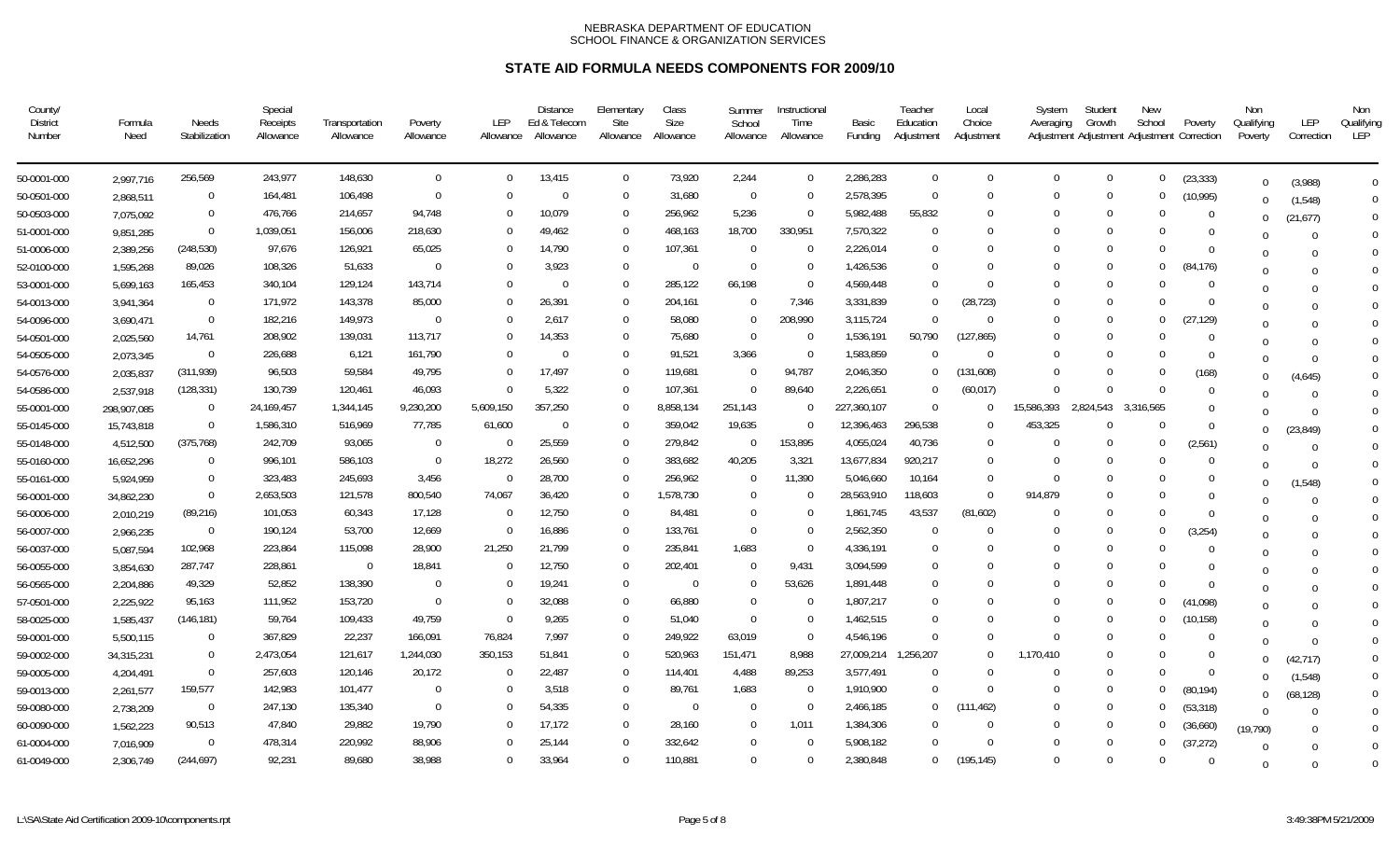| County/<br><b>District</b><br>Number | Formula<br>Need | Needs<br>Stabilization | Special<br>Receipts<br>Allowance | Transportation<br>Allowance | Poverty<br>Allowance | LEP<br>Allowance | <b>Distance</b><br>Ed & Telecom<br>Allowance | Elementary<br>Site<br>Allowance | Class<br>Size<br>Allowance | Summer<br>School<br>Allowance | Instructional<br>Time<br>Allowance | Basic<br>Funding | Teacher<br>Education<br>Adjustment | Local<br>Choice<br>Adjustment | System<br>Averaging | Student<br>Growth<br>Adjustment Adjustment Adjustment Correction | New<br>School | Poverty        | Non<br>Qualifying<br>Poverty | LEP<br>Correction | Non<br>Qualifying<br>LEP |
|--------------------------------------|-----------------|------------------------|----------------------------------|-----------------------------|----------------------|------------------|----------------------------------------------|---------------------------------|----------------------------|-------------------------------|------------------------------------|------------------|------------------------------------|-------------------------------|---------------------|------------------------------------------------------------------|---------------|----------------|------------------------------|-------------------|--------------------------|
| 50-0001-000                          | 2,997,716       | 256,569                | 243,977                          | 148,630                     | $\mathbf{0}$         | $\Omega$         | 13,415                                       | $\mathbf{0}$                    | 73,920                     | 2,244                         | $\overline{0}$                     | 2,286,283        | $\overline{0}$                     | $\Omega$                      | $\Omega$            | $\overline{0}$                                                   | $\Omega$      | (23, 333)      | $\Omega$                     | (3,988)           | $\mathbf 0$              |
| 50-0501-000                          | 2,868,511       | $\Omega$               | 164,481                          | 106,498                     | $\Omega$             | $\Omega$         | $\Omega$                                     | $\Omega$                        | 31,680                     | $\overline{0}$                | $\Omega$                           | 2,578,395        | $\Omega$                           | $\Omega$                      | $\Omega$            | $\Omega$                                                         | $\Omega$      | (10, 995)      |                              | (1, 548)          | $\Omega$                 |
| 50-0503-000                          | 7,075,092       | $\mathbf{0}$           | 476,766                          | 214,657                     | 94,748               | $\Omega$         | 10,079                                       | $\mathbf 0$                     | 256,962                    | 5,236                         | - 0                                | 5,982,488        | 55,832                             | $\cup$                        | $\Omega$            | $\Omega$                                                         | $\Omega$      | $\overline{0}$ | $\Omega$                     | (21, 677)         | $\Omega$                 |
| 51-0001-000                          | 9,851,285       | $\overline{0}$         | 1,039,051                        | 156,006                     | 218,630              |                  | 49,462                                       | $\Omega$                        | 468,163                    | 18,700                        | 330,951                            | 7,570,322        | $\Omega$                           | $\cup$                        | $\Omega$            | $\Omega$                                                         | $\Omega$      | $\Omega$       |                              |                   | $\Omega$                 |
| 51-0006-000                          | 2,389,256       | (248, 530)             | 97,676                           | 126,921                     | 65,025               |                  | 14,790                                       | $\overline{0}$                  | 107,361                    | $\overline{0}$                | $\Omega$                           | 2,226,014        | $\Omega$                           | $\Omega$                      | $\Omega$            | $\Omega$                                                         | $\Omega$      | $\Omega$       | $\Omega$                     |                   | $\Omega$                 |
| 52-0100-000                          | 1,595,268       | 89,026                 | 108,326                          | 51,633                      | $\Omega$             |                  | 3,923                                        | $\Omega$                        | $\Omega$                   | $\Omega$                      | $\Omega$                           | 1,426,536        | $\Omega$                           | $\Omega$                      | $\Omega$            | $\Omega$                                                         | $\Omega$      | (84, 176)      |                              |                   | $\Omega$                 |
| 53-0001-000                          | 5,699,163       | 165,453                | 340,104                          | 129,124                     | 143,714              | 0                | $\Omega$                                     | $\Omega$                        | 285,122                    | 66,198                        | $\Omega$                           | 4,569,448        | $\Omega$                           | $\Omega$                      | $\Omega$            | $\Omega$                                                         | $\Omega$      | $\Omega$       | $\Omega$                     |                   | $\Omega$                 |
| 54-0013-000                          | 3,941,364       | $\Omega$               | 171,972                          | 143,378                     | 85,000               |                  | 26,391                                       | $\mathbf 0$                     | 204,161                    | $\Omega$                      | 7,346                              | 3,331,839        | $\Omega$                           | (28, 723)                     | $\Omega$            | $\Omega$                                                         | $\Omega$      | $\Omega$       | $\Omega$                     |                   | $\Omega$                 |
| 54-0096-000                          | 3,690,471       | $\Omega$               | 182,216                          | 149,973                     | $\Omega$             | U                | 2,617                                        | $\Omega$                        | 58,080                     | $\Omega$                      | 208,990                            | 3,115,724        | $\Omega$                           | $\Omega$                      | $\Omega$            | $\Omega$                                                         | $\Omega$      | (27, 129)      | $\Omega$                     |                   | $\Omega$                 |
| 54-0501-000                          | 2,025,560       | 14,761                 | 208,902                          | 139,031                     | 113,717              |                  | 14,353                                       | $\Omega$                        | 75,680                     | $\Omega$                      | $\Omega$                           | 1,536,191        | 50,790                             | (127, 865)                    | $\Omega$            | $\Omega$                                                         | $\Omega$      | $\Omega$       | $\Omega$                     |                   | $\Omega$                 |
| 54-0505-000                          | 2,073,345       | $\overline{0}$         | 226,688                          | 6,121                       | 161,790              | 0                | $\Omega$                                     | $\Omega$                        | 91,521                     | 3,366                         | $\Omega$                           | 1,583,859        | $\Omega$                           | $\Omega$                      | $\Omega$            | $\Omega$                                                         | $\Omega$      | $\Omega$       | U                            |                   | $\Omega$                 |
| 54-0576-000                          | 2,035,837       | (311, 939)             | 96,503                           | 59,584                      | 49,795               |                  | 17,497                                       | $\Omega$                        | 119,681                    | $\Omega$                      | 94,787                             | 2,046,350        |                                    | (131, 608)                    | $\Omega$            | $\Omega$                                                         | $\Omega$      | (168)          | $\Omega$                     | (4,645)           | $\Omega$                 |
| 54-0586-000                          | 2,537,918       | (128, 331)             | 130,739                          | 120,461                     | 46,093               |                  | 5,322                                        | $\Omega$                        | 107,361                    | $\Omega$                      | 89,640                             | 2,226,651        | $\Omega$                           | (60, 017)                     | $\Omega$            | $\Omega$                                                         | $\Omega$      | $\Omega$       |                              | $\Omega$          | $\Omega$                 |
| 55-0001-000                          | 298,907,085     | $\Omega$               | 24, 169, 457                     | 1,344,145                   | 9,230,200            | 5,609,150        | 357,250                                      | $\Omega$                        | 8,858,134                  | 251,143                       | $\Omega$                           | 227,360,107      | $\Omega$                           | $\Omega$                      | 15,586,393          | 2,824,543                                                        | 3,316,565     | $\Omega$       |                              |                   | $\Omega$                 |
| 55-0145-000                          | 15,743,818      | $\Omega$               | 1,586,310                        | 516,969                     | 77,785               | 61,600           | $\Omega$                                     | $\mathbf 0$                     | 359,042                    | 19,635                        | $\Omega$                           | 12,396,463       | 296,538                            | $\Omega$                      | 453,325             | $\Omega$                                                         | $\Omega$      | $\Omega$       | $\Omega$                     | (23, 849)         | $\Omega$                 |
| 55-0148-000                          | 4,512,500       | (375, 768)             | 242,709                          | 93,065                      | $\Omega$             | $\Omega$         | 25,559                                       | $\Omega$                        | 279,842                    | $\Omega$                      | 153,895                            | 4,055,024        | 40,736                             | $\Omega$                      | $\Omega$            | $\Omega$                                                         | $\Omega$      | (2, 561)       | $\cap$                       | $\Omega$          | $\overline{0}$           |
| 55-0160-000                          | 16,652,296      | $\Omega$               | 996,101                          | 586,103                     | $\Omega$             | 18,272           | 26,560                                       | $\Omega$                        | 383,682                    | 40,205                        | 3,321                              | 13,677,834       | 920,217                            | $\Omega$                      | $\Omega$            | $\Omega$                                                         | $\Omega$      | $\Omega$       | $\Omega$                     | $\Omega$          | $\overline{0}$           |
| 55-0161-000                          | 5,924,959       | $\mathbf{0}$           | 323,483                          | 245,693                     | 3,456                | $\Omega$         | 28,700                                       | $\mathbf 0$                     | 256,962                    | - 0                           | 11,390                             | 5,046,660        | 10,164                             | $\cap$                        | $\Omega$            | $\cup$                                                           | $\Omega$      | $\Omega$       | $\Omega$                     | (1, 548)          | $\overline{0}$           |
| 56-0001-000                          | 34,862,230      | $\Omega$               | 2,653,503                        | 121,578                     | 800,540              | 74,067           | 36,420                                       | $\Omega$                        | 1,578,730                  | $\Omega$                      |                                    | 28,563,910       | 118,603                            | $\Omega$                      | 914,879             |                                                                  | $\Omega$      | $\Omega$       |                              |                   | $\Omega$                 |
| 56-0006-000                          | 2,010,219       | (89, 216)              | 101,053                          | 60,343                      | 17,128               | - 0              | 12,750                                       | $\Omega$                        | 84,481                     | - 0                           | $\Omega$                           | 1,861,745        | 43,537                             | (81,602)                      | $\Omega$            | $\Omega$                                                         | $\Omega$      | $\Omega$       | $\Omega$                     |                   | $\overline{0}$           |
| 56-0007-000                          | 2,966,235       | $\overline{0}$         | 190,124                          | 53,700                      | 12,669               | $\Omega$         | 16,886                                       | $\Omega$                        | 133,761                    | $\overline{0}$                | $\Omega$                           | 2,562,350        |                                    | $\Omega$                      | $\Omega$            | $\Omega$                                                         | $\Omega$      | (3, 254)       | $\Omega$                     |                   | $\overline{0}$           |
| 56-0037-000                          | 5,087,594       | 102,968                | 223,864                          | 115,098                     | 28,900               | 21,250           | 21,799                                       | $\mathbf 0$                     | 235,841                    | 1,683                         | - 0                                | 4,336,191        | $\Omega$                           |                               | $\Omega$            |                                                                  | $\Omega$      | $\Omega$       | $\Omega$                     |                   | $\overline{0}$           |
| 56-0055-000                          | 3,854,630       | 287,747                | 228,861                          | $\mathbf 0$                 | 18,841               | $\Omega$         | 12,750                                       | $\mathbf 0$                     | 202,401                    | - 0                           | 9,431                              | 3,094,599        | $\Omega$                           |                               | $\Omega$            | $\Omega$                                                         | $\Omega$      | $\Omega$       | $\cup$                       |                   | $\overline{0}$           |
| 56-0565-000                          | 2,204,886       | 49,329                 | 52,852                           | 138,390                     | $\Omega$             | $\Omega$         | 19,241                                       | $\Omega$                        | $\Omega$                   | - 0                           | 53,626                             | 1,891,448        | $\Omega$                           |                               | $\Omega$            | $\Omega$                                                         | $\Omega$      | $\Omega$       | $\Omega$                     |                   | $\overline{0}$           |
| 57-0501-000                          | 2,225,922       | 95,163                 | 111,952                          | 153,720                     | $\Omega$             | $\Omega$         | 32,088                                       | $\Omega$                        | 66,880                     | $\overline{0}$                | - 0                                | 1,807,217        | $^{\circ}$                         |                               | -0                  | $\Omega$                                                         | $\Omega$      | (41,098)       | $\Omega$                     |                   | $\mathbf 0$              |
| 58-0025-000                          | 1,585,437       | (146, 181)             | 59,764                           | 109,433                     | 49,759               | $\Omega$         | 9,265                                        | $\mathbf 0$                     | 51,040                     | $\overline{0}$                | $\Omega$                           | 1,462,515        | $\Omega$                           |                               | $\Omega$            | $\Omega$                                                         | $\bf{0}$      | (10, 158)      | $\Omega$                     |                   | $\mathbf 0$              |
| 59-0001-000                          | 5,500,115       | $\Omega$               | 367,829                          | 22,237                      | 166,091              | 76,824           | 7,997                                        | $\overline{0}$                  | 249,922                    | 63,019                        | $\Omega$                           | 4,546,196        | $\Omega$                           | $\Omega$                      | $\Omega$            | $\Omega$                                                         | $\Omega$      | $\Omega$       | $\Omega$                     |                   | $\mathbf 0$              |
| 59-0002-000                          | 34,315,231      | $\Omega$               | 2,473,054                        | 121,617                     | 1,244,030            | 350,153          | 51,841                                       | $\Omega$                        | 520,963                    | 151,471                       | 8,988                              | 27,009,214       | 1,256,207                          | $\Omega$                      | 1,170,410           | $\Omega$                                                         | $\Omega$      | - 0            | 0                            | (42, 717)         | $\overline{0}$           |
| 59-0005-000                          | 4,204,491       | $\Omega$               | 257,603                          | 120,146                     | 20,172               | $\Omega$         | 22,487                                       | $\Omega$                        | 114,401                    | 4,488                         | 89,253                             | 3,577,491        | $\Omega$                           | $\cup$                        | $\Omega$            | - 0                                                              | $\Omega$      | $\Omega$       | 0                            | (1, 548)          | $\mathbf{0}$             |
| 59-0013-000                          | 2,261,577       | 159,577                | 142,983                          | 101,477                     | $\mathbf{0}$         | $\Omega$         | 3,518                                        | $\mathbf 0$                     | 89,761                     | 1,683                         | - 0                                | 1,910,900        | $\Omega$                           | $\Omega$                      | -0                  | $\Omega$                                                         | $\bf{0}$      | (80, 194)      | $\Omega$                     | (68, 128)         | $\mathbf{0}$             |
| 59-0080-000                          | 2,738,209       | $\Omega$               | 247,130                          | 135,340                     | $\Omega$             | $\Omega$         | 54,335                                       | $\Omega$                        | $\mathbf 0$                | - 0                           | $\Omega$                           | 2,466,185        | $\Omega$                           | (111, 462)                    | $\Omega$            | $\Omega$                                                         | $\Omega$      | (53, 318)      | $\cap$                       |                   | $\mathbf 0$              |
| 60-0090-000                          | 1,562,223       | 90,513                 | 47,840                           | 29,882                      | 19,790               | 0                | 17,172                                       | $\mathbf 0$                     | 28,160                     | $\mathbf 0$                   | 1,011                              | 1,384,306        | $\Omega$                           | $\Omega$                      | $\Omega$            | $\Omega$                                                         | $\Omega$      | (36,660)       | (19, 790)                    |                   | $\mathbf 0$              |
| 61-0004-000                          | 7,016,909       | $\Omega$               | 478,314                          | 220,992                     | 88,906               |                  | 25,144                                       | $\mathbf 0$                     | 332,642                    | $\mathbf 0$                   | $\Omega$                           | 5,908,182        | $\Omega$                           | $\cap$                        | $\Omega$            | $\Omega$                                                         | $\Omega$      | (37, 272)      | $\Omega$                     |                   | $\mathbf 0$              |
| 61-0049-000                          | 2,306,749       | (244, 697)             | 92,231                           | 89,680                      | 38,988               | 0                | 33,964                                       | $\Omega$                        | 110,881                    | $\Omega$                      | $\Omega$                           | 2,380,848        | $\overline{0}$                     | (195, 145)                    | $\Omega$            | $\Omega$                                                         | $\Omega$      | $\Omega$       | $\Omega$                     |                   | $\Omega$                 |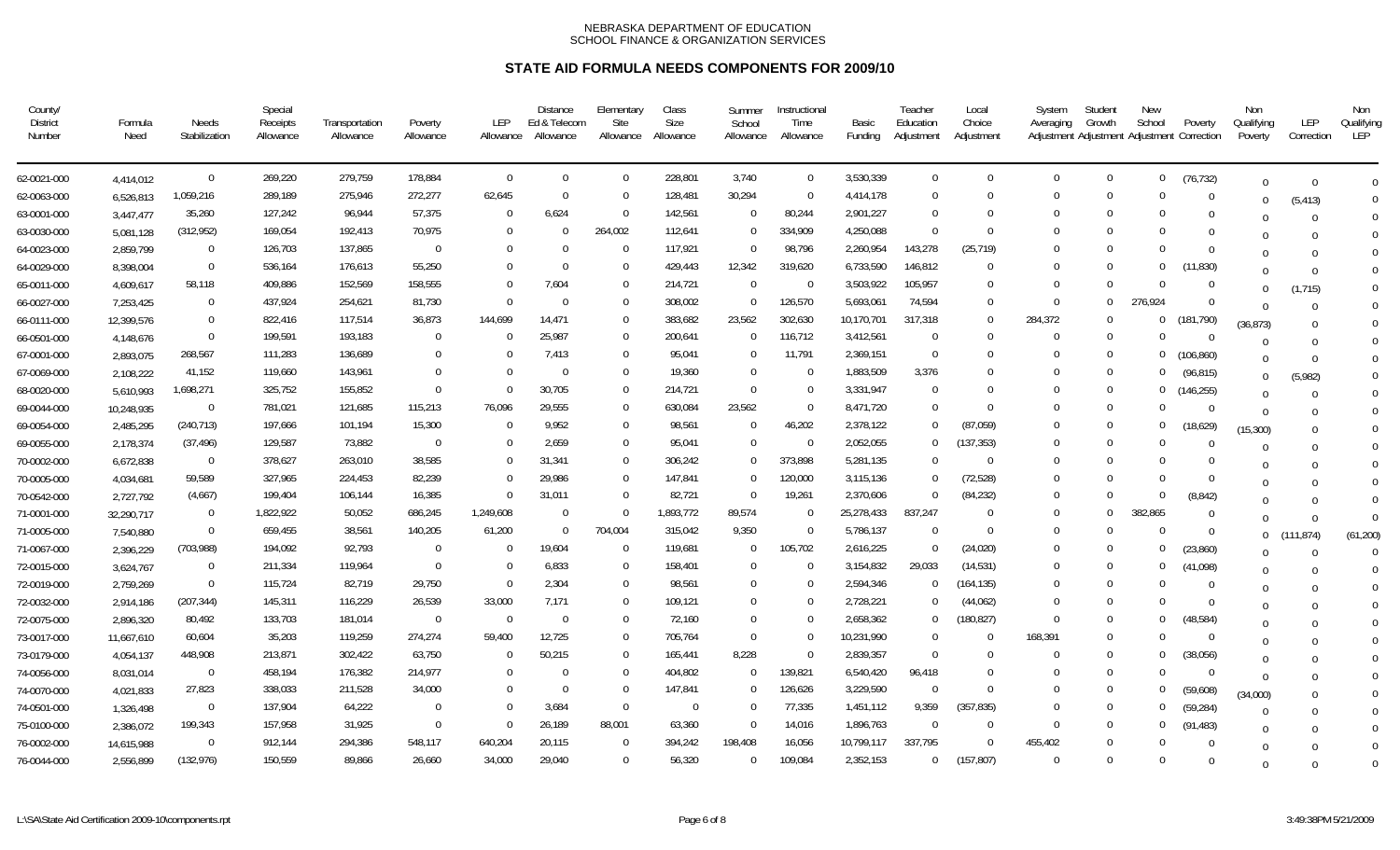| County/<br>District<br>Number | Formula<br>Need | Needs<br>Stabilization | Special<br>Receipts<br>Allowance | Transportation<br>Allowance | Poverty<br>Allowance | LEP<br>Allowance | <b>Distance</b><br>Ed & Telecom<br>Allowance | Elementary<br>Site<br>Allowance | Class<br>Size<br>Allowance | Summer<br>School<br>Allowance | Instructional<br>Time<br>Allowance | Basic<br>Funding | Teacher<br>Education<br>Adjustment | Local<br>Choice<br>Adjustment | System<br>Averaging | Studen<br>Growth | <b>New</b><br>School | Poverty<br>Adjustment Adjustment Adjustment Correction | Non<br>Qualifying<br>Poverty | LEP<br>Correction | Non<br>Qualifying<br>LEP |
|-------------------------------|-----------------|------------------------|----------------------------------|-----------------------------|----------------------|------------------|----------------------------------------------|---------------------------------|----------------------------|-------------------------------|------------------------------------|------------------|------------------------------------|-------------------------------|---------------------|------------------|----------------------|--------------------------------------------------------|------------------------------|-------------------|--------------------------|
| 62-0021-000                   | 4,414,012       | $\overline{0}$         | 269,220                          | 279,759                     | 178,884              | $\Omega$         | $\Omega$                                     | $\Omega$                        | 228,801                    | 3.740                         | $\overline{0}$                     | 3,530,339        | $\Omega$                           | $\Omega$                      | $\Omega$            | $\overline{0}$   | $\mathbf{0}$         | (76, 732)                                              | $\Omega$                     | $\cap$            | $\Omega$                 |
| 62-0063-000                   | 6,526,813       | 1,059,216              | 289,189                          | 275,946                     | 272,277              | 62,645           | $\Omega$                                     | $\overline{0}$                  | 128,481                    | 30,294                        | $\Omega$                           | 4,414,178        | $\Omega$                           | $\Omega$                      | $\Omega$            | $\Omega$         | $\Omega$             | $\Omega$                                               | 0                            | (5, 413)          | $\Omega$                 |
| 63-0001-000                   | 3,447,477       | 35,260                 | 127,242                          | 96,944                      | 57,375               | $\Omega$         | 6,624                                        | $\overline{0}$                  | 142,561                    | - 0                           | 80,244                             | 2,901,227        | $\Omega$                           | $\Omega$                      | $\Omega$            | $\Omega$         | $\Omega$             | $\Omega$                                               |                              | $\Omega$          | $\Omega$                 |
| 63-0030-000                   | 5,081,128       | (312, 952)             | 169,054                          | 192,413                     | 70,975               | $\Omega$         | $\Omega$                                     | 264,002                         | 112,641                    | $\Omega$                      | 334,909                            | 4,250,088        | $\Omega$                           | $\Omega$                      | <sup>0</sup>        | $\Omega$         | $\Omega$             | -0                                                     |                              |                   | $\Omega$                 |
| 64-0023-000                   | 2,859,799       | $\overline{0}$         | 126,703                          | 137,865                     | $\Omega$             | $\Omega$         | $\Omega$                                     | $\overline{0}$                  | 117,921                    | $\Omega$                      | 98,796                             | 2,260,954        | 143,278                            | (25, 719)                     | $\Omega$            | $\Omega$         | $\Omega$             | $\Omega$                                               |                              |                   | $\Omega$                 |
| 64-0029-000                   | 8,398,004       | $\Omega$               | 536,164                          | 176,613                     | 55,250               | $\Omega$         | $\Omega$                                     | $\Omega$                        | 429,443                    | 12,342                        | 319,620                            | 6,733,590        | 146,812                            | $\Omega$                      | $\Omega$            | $\Omega$         | $\Omega$             | (11, 830)                                              |                              |                   | $\Omega$                 |
| 65-0011-000                   | 4,609,617       | 58,118                 | 409,886                          | 152,569                     | 158,555              | $\Omega$         | 7,604                                        | $\Omega$                        | 214,721                    | $\Omega$                      | $\Omega$                           | 3,503,922        | 105,957                            | $\Omega$                      | $\Omega$            | $\Omega$         | $\Omega$             | $\Omega$                                               | $\Omega$                     | (1, 715)          | $\Omega$                 |
| 66-0027-000                   | 7,253,425       | $\Omega$               | 437,924                          | 254,621                     | 81,730               | $\Omega$         | $\Omega$                                     | $\Omega$                        | 308,002                    | $\Omega$                      | 126,570                            | 5,693,061        | 74,594                             | $\Omega$                      | $\Omega$            | $\Omega$         | 276,924              | $\Omega$                                               | $\Omega$                     |                   | $\Omega$                 |
| 66-0111-000                   | 12,399,576      | $\Omega$               | 822,416                          | 117,514                     | 36,873               | 144,699          | 14,471                                       | $\Omega$                        | 383,682                    | 23,562                        | 302,630                            | 10,170,701       | 317,318                            | $\Omega$                      | 284,372             | $\Omega$         | $\Omega$             | (181, 790)                                             | (36, 873)                    |                   | $\Omega$                 |
| 66-0501-000                   | 4,148,676       | $\Omega$               | 199,591                          | 193,183                     | $\Omega$             | $\Omega$         | 25,987                                       | $\Omega$                        | 200,641                    | $\Omega$                      | 116,712                            | 3,412,561        | $\Omega$                           | $\Omega$                      | $\Omega$            | $\Omega$         | $\Omega$             | - 0                                                    | $\Omega$                     |                   | $\Omega$                 |
| 67-0001-000                   | 2,893,075       | 268,567                | 111,283                          | 136,689                     | 0                    |                  | 7,413                                        | $\Omega$                        | 95,041                     | -0                            | 11,791                             | 2,369,151        | $\Omega$                           | $\Omega$                      | $\Omega$            | $\Omega$         | $\Omega$             | (106, 860)                                             | $\Omega$                     |                   | $\Omega$                 |
| 67-0069-000                   | 2,108,222       | 41,152                 | 119,660                          | 143,961                     | $\Omega$             |                  | $\Omega$                                     | $\Omega$                        | 19,360                     | $\Omega$                      | $\Omega$                           | 1,883,509        | 3,376                              |                               | 0                   | $\Omega$         | $\Omega$             | (96, 815)                                              | $\Omega$                     | (5,982)           | $\Omega$                 |
| 68-0020-000                   | 5,610,993       | 1,698,271              | 325,752                          | 155,852                     | $\Omega$             |                  | 30,705                                       | $\Omega$                        | 214,721                    | $\Omega$                      | $\Omega$                           | 3,331,947        | $\Omega$                           |                               | $\Omega$            | $\Omega$         | $\Omega$             | (146, 255)                                             | $\Omega$                     |                   | $\Omega$                 |
| 69-0044-000                   | 10,248,935      | $\Omega$               | 781,021                          | 121,685                     | 115,213              | 76,096           | 29,555                                       | $\Omega$                        | 630,084                    | 23,562                        | $\Omega$                           | 8,471,720        | $\Omega$                           | $\Omega$                      | $\Omega$            | $\Omega$         | $\Omega$             | $\Omega$                                               | $\Omega$                     |                   | $\Omega$                 |
| 69-0054-000                   | 2,485,295       | (240, 713)             | 197,666                          | 101,194                     | 15,300               |                  | 9,952                                        | $\overline{0}$                  | 98,561                     | $\Omega$                      | 46,202                             | 2,378,122        | $\Omega$                           | (87,059)                      | $\Omega$            | $\Omega$         | $\Omega$             | (18, 629)                                              | (15, 300)                    |                   | $\Omega$                 |
| 69-0055-000                   | 2,178,374       | (37, 496)              | 129,587                          | 73,882                      | $\Omega$             | $\Omega$         | 2,659                                        | $\Omega$                        | 95,041                     | $\Omega$                      | $\Omega$                           | 2,052,055        | $\Omega$                           | (137, 353)                    | $\Omega$            | $\Omega$         | $\Omega$             | $\Omega$                                               | $\Omega$                     |                   | $\Omega$                 |
| 70-0002-000                   | 6,672,838       | $\overline{0}$         | 378,627                          | 263,010                     | 38,585               |                  | 31,341                                       | $\Omega$                        | 306,242                    | $\Omega$                      | 373,898                            | 5,281,135        | $\Omega$                           | $\Omega$                      | $\Omega$            |                  | $\Omega$             |                                                        |                              |                   | $\Omega$                 |
| 70-0005-000                   | 4,034,681       | 59,589                 | 327,965                          | 224,453                     | 82,239               |                  | 29,986                                       | $\mathbf 0$                     | 147,841                    | $\Omega$                      | 120,000                            | 3,115,136        |                                    | (72, 528)                     | $\Omega$            | $\Omega$         | $\Omega$             | $\Omega$                                               | $\Omega$                     |                   | $\Omega$                 |
| 70-0542-000                   | 2,727,792       | (4,667)                | 199,404                          | 106,144                     | 16,385               |                  | 31,011                                       | $\Omega$                        | 82,721                     | $\Omega$                      | 19,261                             | 2,370,606        |                                    | (84, 232)                     | $\Omega$            | $\Omega$         | $\Omega$             | (8, 842)                                               | $\Omega$                     |                   | $\Omega$                 |
| 71-0001-000                   | 32,290,717      | $\overline{0}$         | 1,822,922                        | 50,052                      | 686,245              | 1,249,608        | $\Omega$                                     | $\overline{0}$                  | 1,893,772                  | 89,574                        | $\Omega$                           | 25,278,433       | 837,247                            | $\Omega$                      | $\Omega$            | $\Omega$         | 382,865              | $\Omega$                                               | $\Omega$                     | $\Omega$          | $\overline{0}$           |
| 71-0005-000                   | 7,540,880       | $\Omega$               | 659,455                          | 38,561                      | 140,205              | 61,200           | $\Omega$                                     | 704,004                         | 315,042                    | 9,350                         | $\Omega$                           | 5,786,137        |                                    | $\Omega$                      | $\Omega$            | $\Omega$         | $\Omega$             | $\Omega$                                               | $\mathbf{0}$                 | (111, 874)        | (61, 200)                |
| 71-0067-000                   | 2,396,229       | (703, 988)             | 194,092                          | 92,793                      | 0                    | $\Omega$         | 19,604                                       | $\overline{0}$                  | 119,681                    | -0                            | 105,702                            | 2,616,225        | $\cap$                             | (24, 020)                     | $\Omega$            | $\Omega$         | $\bf{0}$             | (23, 860)                                              | $\Omega$                     | $\Omega$          | $\Omega$                 |
| 72-0015-000                   | 3,624,767       | $\Omega$               | 211,334                          | 119,964                     | $\Omega$             | $\Omega$         | 6,833                                        | $\overline{0}$                  | 158,401                    | - 0                           | $\Omega$                           | 3,154,832        | 29,033                             | (14, 531)                     | $\Omega$            | $\Omega$         | $\bf{0}$             | (41,098)                                               | $\Omega$                     |                   | $\Omega$                 |
| 72-0019-000                   | 2,759,269       | $\Omega$               | 115,724                          | 82,719                      | 29,750               | $\Omega$         | 2,304                                        | $\Omega$                        | 98,561                     | $\Omega$                      | $\Omega$                           | 2,594,346        | $\Omega$                           | (164, 135)                    | $\Omega$            | $\Omega$         | $\Omega$             | $\Omega$                                               | $\Omega$                     |                   | $\overline{0}$           |
| 72-0032-000                   | 2,914,186       | (207, 344)             | 145,311                          | 116,229                     | 26,539               | 33,000           | 7,171                                        | $\Omega$                        | 109,121                    | $\Omega$                      | $\Omega$                           | 2,728,221        | $\Omega$                           | (44,062)                      | $\Omega$            | $\Omega$         | $\Omega$             | $\Omega$                                               | $\Omega$                     |                   | $\overline{0}$           |
| 72-0075-000                   | 2,896,320       | 80,492                 | 133,703                          | 181,014                     | $\mathbf 0$          | $\Omega$         | $\Omega$                                     | $\Omega$                        | 72,160                     | $\Omega$                      | $\Omega$                           | 2,658,362        | $\Omega$                           | (180, 827)                    | $\Omega$            | $\Omega$         | 0                    | (48,584)                                               | $\Omega$                     |                   | $\overline{0}$           |
| 73-0017-000                   | 11,667,610      | 60,604                 | 35,203                           | 119,259                     | 274,274              | 59,400           | 12,725                                       | $\Omega$                        | 705,764                    | $\Omega$                      | $\Omega$                           | 10,231,990       | $\Omega$                           | $\Omega$                      | 168,391             | - 0              | $\Omega$             | -0                                                     | $\Omega$                     |                   | $\Omega$                 |
| 73-0179-000                   | 4,054,137       | 448,908                | 213,871                          | 302,422                     | 63,750               | $\Omega$         | 50,215                                       | $\Omega$                        | 165,441                    | 8,228                         | $\Omega$                           | 2,839,357        | $\Omega$                           | $\Omega$                      | $\Omega$            | - 0              | $\mathbf 0$          | (38,056)                                               | $\Omega$                     |                   | $\overline{0}$           |
| 74-0056-000                   | 8,031,014       | $\Omega$               | 458,194                          | 176,382                     | 214,977              | $\Omega$         | ∩                                            | $\Omega$                        | 404,802                    | $\Omega$                      | 139,821                            | 6,540,420        | 96,418                             | $\Omega$                      | $\Omega$            | $\Omega$         | $\Omega$             | - 0                                                    | $\Omega$                     |                   | $\Omega$                 |
| 74-0070-000                   | 4,021,833       | 27,823                 | 338,033                          | 211,528                     | 34,000               | $\Omega$         | $\Omega$                                     | $\overline{0}$                  | 147,841                    | $\overline{0}$                | 126,626                            | 3,229,590        | $\Omega$                           | $\Omega$                      | $\Omega$            | $\Omega$         | $\Omega$             | (59,608)                                               | (34,000)                     |                   | $\Omega$                 |
| 74-0501-000                   | 1,326,498       | $\overline{0}$         | 137,904                          | 64,222                      | $\Omega$             | $\Omega$         | 3,684                                        | $\overline{0}$                  | $\mathbf 0$                | $\Omega$                      | 77,335                             | 1,451,112        | 9,359                              | (357, 835)                    | $\Omega$            | $\Omega$         | $\Omega$             | (59, 284)                                              | $\Omega$                     |                   | $\overline{0}$           |
| 75-0100-000                   | 2,386,072       | 199,343                | 157,958                          | 31,925                      | $\Omega$             | $\Omega$         | 26,189                                       | 88,001                          | 63,360                     | $\Omega$                      | 14,016                             | 1,896,763        | $\Omega$                           | $\Omega$                      | $\Omega$            | $\Omega$         | $\mathbf{0}$         | (91, 483)                                              | $\Omega$                     |                   | $\overline{0}$           |
| 76-0002-000                   | 14,615,988      | $\overline{0}$         | 912,144                          | 294,386                     | 548,117              | 640,204          | 20,115                                       | $\mathbf 0$                     | 394,242                    | 198,408                       | 16,056                             | 10,799,117       | 337,795                            | $\Omega$                      | 455,402             | $\Omega$         | $\Omega$             | 0                                                      | $\Omega$                     |                   | $\Omega$                 |
| 76-0044-000                   | 2,556,899       | (132, 976)             | 150,559                          | 89,866                      | 26,660               | 34,000           | 29,040                                       | $\Omega$                        | 56,320                     | $\Omega$                      | 109,084                            | 2,352,153        | $\Omega$                           | (157, 807)                    | $\Omega$            | $\Omega$         | $\Omega$             | $\Omega$                                               | $\Omega$                     |                   | $\Omega$                 |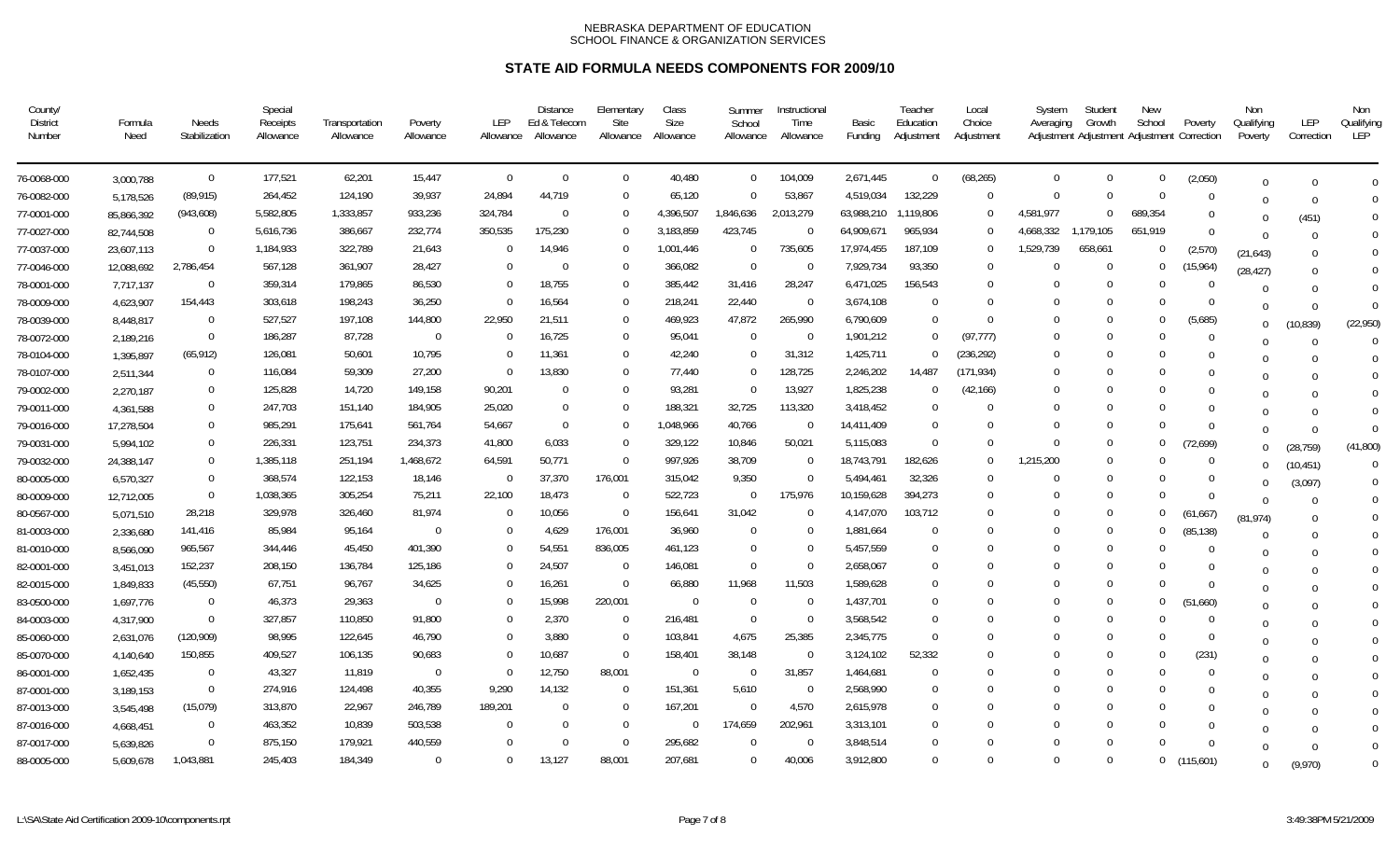| County/<br><b>District</b><br>Number | Formula<br>Need | Needs<br>Stabilization | Special<br>Receipts<br>Allowance | Transportation<br>Allowance | Poverty<br>Allowance | LEP<br>Allowance | <b>Distance</b><br>Ed & Telecom<br>Allowance | Elementary<br>Site<br>Allowance | Class<br>Size<br>Allowance | Summer<br>School<br>Allowance | Instructional<br>Time<br>Allowance | Basic<br>Funding | Teacher<br>Education<br>Adjustment | Local<br>Choice<br>Adjustment | System<br>Averaging | Student<br>Growth<br>Adjustment Adjustment Adjustment Correction | New<br>School  | Poverty   | Non<br>Qualifying<br>Poverty | LEP<br>Correction | Non<br>Qualifying<br>LEP |
|--------------------------------------|-----------------|------------------------|----------------------------------|-----------------------------|----------------------|------------------|----------------------------------------------|---------------------------------|----------------------------|-------------------------------|------------------------------------|------------------|------------------------------------|-------------------------------|---------------------|------------------------------------------------------------------|----------------|-----------|------------------------------|-------------------|--------------------------|
| 76-0068-000                          | 3,000,788       | $\overline{0}$         | 177,521                          | 62,201                      | 15,447               | $\Omega$         | $\Omega$                                     | $\Omega$                        | 40,480                     | $\overline{0}$                | 104,009                            | 2,671,445        | $\overline{0}$                     | (68, 265)                     | $\Omega$            | $\Omega$                                                         | $\mathbf 0$    | (2,050)   | $\Omega$                     |                   | $\Omega$                 |
| 76-0082-000                          | 5,178,526       | (89, 915)              | 264,452                          | 124,190                     | 39,937               | 24,894           | 44,719                                       | $\Omega$                        | 65,120                     | $\Omega$                      | 53,867                             | 4,519,034        | 132,229                            | $\Omega$                      | $\Omega$            | $\Omega$                                                         | $\Omega$       | $\Omega$  | $\Omega$                     | $\Omega$          | $\Omega$                 |
| 77-0001-000                          | 85,866,392      | (943, 608)             | 5,582,805                        | 1,333,857                   | 933,236              | 324,784          | $\Omega$                                     | 0                               | 4,396,507                  | 1,846,636                     | 2,013,279                          | 63,988,210       | 1,119,806                          | - 0                           | 4,581,977           | $\Omega$                                                         | 689,354        | $\Omega$  | $\Omega$                     | (451)             | $\Omega$                 |
| 77-0027-000                          | 82,744,508      | $\Omega$               | 5,616,736                        | 386,667                     | 232,774              | 350,535          | 175,230                                      | $\Omega$                        | 3,183,859                  | 423,745                       | $\overline{0}$                     | 64,909,671       | 965,934                            | $\Omega$                      | 4,668,332           | 1,179,105                                                        | 651,919        | $\Omega$  | $\cap$                       |                   | $\Omega$                 |
| 77-0037-000                          | 23,607,113      | $\Omega$               | 1,184,933                        | 322,789                     | 21,643               | $\Omega$         | 14,946                                       | $\Omega$                        | 1,001,446                  | - 0                           | 735,605                            | 17,974,455       | 187,109                            | $\Omega$                      | 1,529,739           | 658,661                                                          | $\Omega$       | (2,570)   | (21, 643)                    |                   | $\Omega$                 |
| 77-0046-000                          | 12,088,692      | 2,786,454              | 567,128                          | 361,907                     | 28,427               | $\Omega$         | $\Omega$                                     | $\mathbf 0$                     | 366,082                    | $\overline{0}$                | - 0                                | 7,929,734        | 93,350                             | $\Omega$                      | $\Omega$            | - 0                                                              | $\mathbf{0}$   | (15, 964) | (28, 427)                    |                   | $\Omega$                 |
| 78-0001-000                          | 7,717,137       | $\Omega$               | 359,314                          | 179,865                     | 86,530               | $\Omega$         | 18,755                                       | $\Omega$                        | 385,442                    | 31.416                        | 28,247                             | 6,471,025        | 156,543                            | $\Omega$                      | $\Omega$            | $\Omega$                                                         | $\Omega$       | - 0       | $\Omega$                     |                   | $\Omega$                 |
| 78-0009-000                          | 4,623,907       | 154,443                | 303,618                          | 198,243                     | 36,250               |                  | 16,564                                       | $\Omega$                        | 218,241                    | 22,440                        | $\Omega$                           | 3,674,108        | $\Omega$                           | $\Omega$                      | $\Omega$            | $\Omega$                                                         | $\Omega$       | $\Omega$  | $\Omega$                     | $\Omega$          | $\Omega$                 |
| 78-0039-000                          | 8,448,817       | $\Omega$               | 527,527                          | 197,108                     | 144,800              | 22,950           | 21,511                                       | $\Omega$                        | 469,923                    | 47,872                        | 265,990                            | 6,790,609        | $\Omega$                           | $\Omega$                      | $\Omega$            | $\Omega$                                                         | $\Omega$       | (5,685)   | $\Omega$                     | (10, 839)         | (22,950)                 |
| 78-0072-000                          | 2,189,216       | $\Omega$               | 186,287                          | 87,728                      | $\Omega$             | $\Omega$         | 16,725                                       | $\Omega$                        | 95,041                     | $\Omega$                      | $\Omega$                           | 1,901,212        | $\Omega$                           | (97, 777)                     | $\Omega$            | $\Omega$                                                         | $\Omega$       | $\Omega$  | $\Omega$                     | $\Omega$          | $\Omega$                 |
| 78-0104-000                          | 1,395,897       | (65, 912)              | 126,081                          | 50,601                      | 10,795               | $\Omega$         | 11,361                                       | $\mathbf 0$                     | 42,240                     | - 0                           | 31,312                             | 1,425,711        | $\cap$                             | (236, 292)                    | $\Omega$            | $\Omega$                                                         | $\Omega$       | $\Omega$  | U                            |                   | $\Omega$                 |
| 78-0107-000                          | 2,511,344       | $\Omega$               | 116,084                          | 59,309                      | 27,200               |                  | 13,830                                       | $\Omega$                        | 77,440                     | $\Omega$                      | 128,725                            | 2,246,202        | 14,487                             | (171, 934)                    | $\Omega$            | $\cup$                                                           | $\Omega$       | $\Omega$  | 0                            |                   | $\Omega$                 |
| 79-0002-000                          | 2,270,187       | $\Omega$               | 125,828                          | 14,720                      | 149,158              | 90,201           |                                              | $\Omega$                        | 93,281                     | $\Omega$                      | 13,927                             | 1,825,238        | $^{\circ}$                         | (42, 166)                     | $\Omega$            | $\Omega$                                                         | $\Omega$       | $\Omega$  | $\Omega$                     |                   | $\Omega$                 |
| 79-0011-000                          | 4,361,588       | $\mathbf{0}$           | 247,703                          | 151,140                     | 184,905              | 25,020           | $\Omega$                                     | $\Omega$                        | 188,321                    | 32,725                        | 113,320                            | 3,418,452        | $\Omega$                           | $\Omega$                      | $\Omega$            | - 0                                                              | $\Omega$       | $\Omega$  |                              |                   | $\Omega$                 |
| 79-0016-000                          | 17,278,504      | $\Omega$               | 985,291                          | 175,641                     | 561,764              | 54,667           | $\Omega$                                     | $\Omega$                        | 1,048,966                  | 40,766                        | $\Omega$                           | 14,411,409       | $\Omega$                           |                               | $\Omega$            | $\Omega$                                                         | $\Omega$       | $\Omega$  | $\Omega$                     | $\Omega$          | $\Omega$                 |
| 79-0031-000                          | 5,994,102       | $\mathbf{0}$           | 226,331                          | 123,751                     | 234,373              | 41,800           | 6,033                                        | $\mathbf 0$                     | 329,122                    | 10,846                        | 50,021                             | 5,115,083        | $\Omega$                           | $\Omega$                      | $\Omega$            | $\Omega$                                                         | $\overline{0}$ | (72, 699) | $\Omega$                     | (28, 759)         | (41,800)                 |
| 79-0032-000                          | 24,388,147      | $\Omega$               | 1,385,118                        | 251,194                     | 1,468,672            | 64,591           | 50,771                                       | $\Omega$                        | 997,926                    | 38,709                        | $\Omega$                           | 18,743,791       | 182,626                            | $\Omega$                      | 1,215,200           | $\cup$                                                           | $\Omega$       | $\Omega$  | U                            | (10, 451)         | $\Omega$                 |
| 80-0005-000                          | 6,570,327       | $\Omega$               | 368,574                          | 122,153                     | 18,146               | $\overline{0}$   | 37,370                                       | 176,001                         | 315,042                    | 9,350                         | $\Omega$                           | 5,494,461        | 32,326                             | $\Omega$                      | $\Omega$            | $\Omega$                                                         | $\Omega$       | $\Omega$  | $\Omega$                     | (3,097)           | $\overline{0}$           |
| 80-0009-000                          | 12,712,005      | $\Omega$               | 1,038,365                        | 305,254                     | 75,211               | 22,100           | 18,473                                       | - 0                             | 522,723                    | $\Omega$                      | 175,976                            | 10,159,628       | 394,273                            |                               | $\Omega$            | $\cup$                                                           | $\Omega$       | $\Omega$  | $\Omega$                     |                   | $\overline{0}$           |
| 80-0567-000                          | 5,071,510       | 28,218                 | 329,978                          | 326,460                     | 81,974               | $\Omega$         | 10,056                                       | $\overline{0}$                  | 156,641                    | 31,042                        | $\Omega$                           | 4,147,070        | 103,712                            |                               | $\Omega$            | $\Omega$                                                         | $\Omega$       | (61, 667) | (81, 974)                    |                   | $\mathbf 0$              |
| 81-0003-000                          | 2,336,680       | 141,416                | 85,984                           | 95,164                      | $\mathbf{0}$         | -0               | 4,629                                        | 176,001                         | 36,960                     | -0                            | $\Omega$                           | 1,881,664        | $\Omega$                           |                               | $\Omega$            | $\Omega$                                                         | $\bf{0}$       | (85, 138) | $\Omega$                     |                   | $\overline{0}$           |
| 81-0010-000                          | 8,566,090       | 965,567                | 344,446                          | 45,450                      | 401,390              | $\Omega$         | 54,551                                       | 836,005                         | 461,123                    | - 0                           | $\Omega$                           | 5,457,559        | $\Omega$                           |                               | $\Omega$            | $\Omega$                                                         | $\Omega$       | $\Omega$  | $\cup$                       |                   | $\mathbf 0$              |
| 82-0001-000                          | 3,451,013       | 152,237                | 208,150                          | 136,784                     | 125,186              |                  | 24,507                                       | $\overline{0}$                  | 146,081                    | $\Omega$                      | $\Omega$                           | 2,658,067        | $\Omega$                           |                               | $\Omega$            | $\Omega$                                                         | $\Omega$       | $\Omega$  | $\Omega$                     |                   | $\mathbf 0$              |
| 82-0015-000                          | 1,849,833       | (45, 550)              | 67,751                           | 96,767                      | 34,625               | 0                | 16,261                                       | $\overline{0}$                  | 66,880                     | 11,968                        | 11,503                             | 1,589,628        | $\Omega$                           |                               | $\Omega$            | $\Omega$                                                         | $\Omega$       | $\Omega$  | $\Omega$                     |                   | $\overline{0}$           |
| 83-0500-000                          | 1,697,776       | $\Omega$               | 46,373                           | 29,363                      | $\Omega$             | $\Omega$         | 15,998                                       | 220,001                         | $\Omega$                   | $\overline{0}$                | $\Omega$                           | 1,437,701        | $\Omega$                           |                               | $\Omega$            | $\Omega$                                                         | $\mathbf 0$    | (51,660)  | $\Omega$                     |                   | $\overline{0}$           |
| 84-0003-000                          | 4,317,900       | $\Omega$               | 327,857                          | 110,850                     | 91,800               | 0                | 2,370                                        | $\overline{0}$                  | 216,481                    | $\overline{0}$                | $\Omega$                           | 3,568,542        | $\Omega$                           |                               | $\Omega$            | $\Omega$                                                         | $\Omega$       | $\Omega$  | $\Omega$                     |                   | $\Omega$                 |
| 85-0060-000                          | 2,631,076       | (120, 909)             | 98,995                           | 122,645                     | 46,790               | 0                | 3,880                                        | $\overline{0}$                  | 103,841                    | 4,675                         | 25,385                             | 2,345,775        | $\Omega$                           |                               | $\Omega$            | $\Omega$                                                         | $\Omega$       | $\Omega$  | U                            |                   | $\Omega$                 |
| 85-0070-000                          | 4,140,640       | 150,855                | 409,527                          | 106,135                     | 90,683               | $\Omega$         | 10,687                                       | $\overline{0}$                  | 158,401                    | 38,148                        | $\Omega$                           | 3,124,102        | 52,332                             |                               | $\Omega$            | $\Omega$                                                         | $\Omega$       | (231)     | $\Omega$                     |                   | $\Omega$                 |
| 86-0001-000                          | 1,652,435       | $\mathbf{0}$           | 43,327                           | 11,819                      | $\mathbf{0}$         | $\Omega$         | 12,750                                       | 88,001                          | $\mathbf 0$                | $\overline{0}$                | 31,857                             | 1,464,681        | $\Omega$                           | $\Omega$                      | $\Omega$            | $\Omega$                                                         | $\Omega$       | $\Omega$  |                              |                   | $\Omega$                 |
| 87-0001-000                          | 3,189,153       | $\overline{0}$         | 274,916                          | 124,498                     | 40,355               | 9,290            | 14,132                                       | $\Omega$                        | 151,361                    | 5,610                         | $\Omega$                           | 2,568,990        | $\Omega$                           |                               | $\Omega$            |                                                                  | $\Omega$       | $\Omega$  | $\Omega$                     |                   | $\Omega$                 |
| 87-0013-000                          | 3,545,498       | (15,079)               | 313,870                          | 22,967                      | 246,789              | 189,201          | $\Omega$                                     | $\Omega$                        | 167,201                    | $\overline{0}$                | 4,570                              | 2,615,978        | $\Omega$                           |                               | $\Omega$            | $\Omega$                                                         | $\Omega$       | $\Omega$  | $\Omega$                     |                   | $\Omega$                 |
| 87-0016-000                          | 4,668,451       | $\Omega$               | 463,352                          | 10,839                      | 503,538              | $\Omega$         | $\Omega$                                     | $\Omega$                        | $\mathbf 0$                | 174,659                       | 202,961                            | 3,313,101        | $\Omega$                           |                               | $\Omega$            | $\Omega$                                                         | $\Omega$       | $\Omega$  |                              |                   | $\Omega$                 |
| 87-0017-000                          | 5,639,826       | $\Omega$               | 875,150                          | 179,921                     | 440,559              |                  | $\Omega$                                     | $\Omega$                        | 295,682                    | $\Omega$                      | $\Omega$                           | 3,848,514        | $\Omega$                           |                               | $\Omega$            | $\Omega$                                                         | $\Omega$       | $\Omega$  | $\Omega$                     |                   | $\overline{0}$           |
| 88-0005-000                          | 5,609,678       | 1,043,881              | 245,403                          | 184,349                     | $\Omega$             | $\Omega$         | 13,127                                       | 88,001                          | 207,681                    | $\Omega$                      | 40,006                             | 3,912,800        | $\Omega$                           | $\Omega$                      | $\cup$              | $\Omega$                                                         | $\mathbf 0$    | (115,601) | $\Omega$                     | (9.970)           | $\Omega$                 |